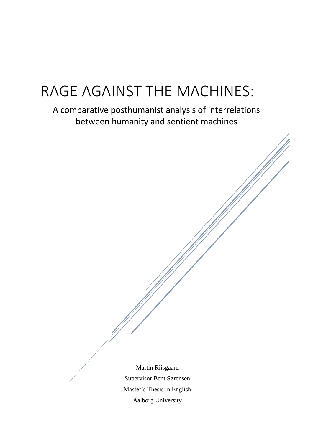# RAGE AGAINST THE MACHINES:

A comparative posthumanist analysis of interrelations between humanity and sentient machines

> Martin Riisgaard Supervisor Bent Sørensen Master's Thesis in English Aalborg University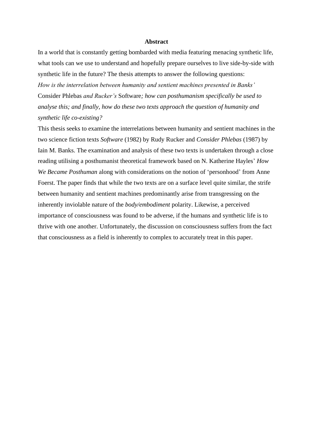#### **Abstract**

In a world that is constantly getting bombarded with media featuring menacing synthetic life, what tools can we use to understand and hopefully prepare ourselves to live side-by-side with synthetic life in the future? The thesis attempts to answer the following questions:

*How is the interrelation between humanity and sentient machines presented in Banks'*  Consider Phlebas *and Rucker's* Software*; how can posthumanism specifically be used to analyse this; and finally, how do these two texts approach the question of humanity and synthetic life co-existing?*

This thesis seeks to examine the interrelations between humanity and sentient machines in the two science fiction texts *Software* (1982) by Rudy Rucker and *Consider Phlebas* (1987) by Iain M. Banks. The examination and analysis of these two texts is undertaken through a close reading utilising a posthumanist theoretical framework based on N. Katherine Hayles' *How We Became Posthuman* along with considerations on the notion of 'personhood' from Anne Foerst. The paper finds that while the two texts are on a surface level quite similar, the strife between humanity and sentient machines predominantly arise from transgressing on the inherently inviolable nature of the *body/embodiment* polarity. Likewise, a perceived importance of consciousness was found to be adverse, if the humans and synthetic life is to thrive with one another. Unfortunately, the discussion on consciousness suffers from the fact that consciousness as a field is inherently to complex to accurately treat in this paper.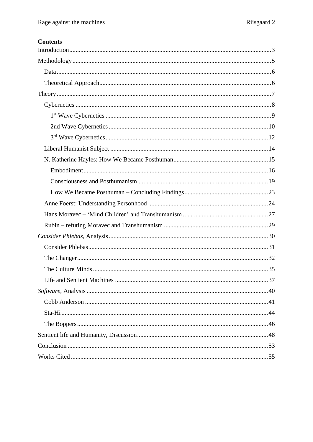# **Contents**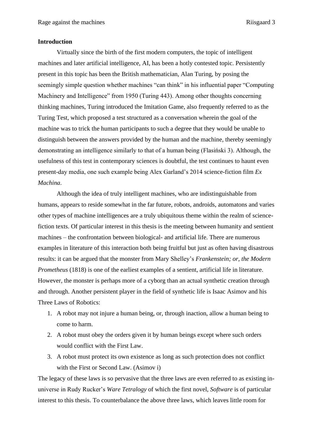#### <span id="page-3-0"></span>**Introduction**

Virtually since the birth of the first modern computers, the topic of intelligent machines and later artificial intelligence, AI, has been a hotly contested topic. Persistently present in this topic has been the British mathematician, Alan Turing, by posing the seemingly simple question whether machines "can think" in his influential paper "Computing Machinery and Intelligence" from 1950 (Turing 443). Among other thoughts concerning thinking machines, Turing introduced the Imitation Game, also frequently referred to as the Turing Test, which proposed a test structured as a conversation wherein the goal of the machine was to trick the human participants to such a degree that they would be unable to distinguish between the answers provided by the human and the machine, thereby seemingly demonstrating an intelligence similarly to that of a human being (Flasiński 3). Although, the usefulness of this test in contemporary sciences is doubtful, the test continues to haunt even present-day media, one such example being Alex Garland's 2014 science-fiction film *Ex Machina*.

Although the idea of truly intelligent machines, who are indistinguishable from humans, appears to reside somewhat in the far future, robots, androids, automatons and varies other types of machine intelligences are a truly ubiquitous theme within the realm of sciencefiction texts. Of particular interest in this thesis is the meeting between humanity and sentient machines – the confrontation between biological- and artificial life. There are numerous examples in literature of this interaction both being fruitful but just as often having disastrous results: it can be argued that the monster from Mary Shelley's *Frankenstein; or, the Modern Prometheus* (1818) is one of the earliest examples of a sentient, artificial life in literature. However, the monster is perhaps more of a cyborg than an actual synthetic creation through and through. Another persistent player in the field of synthetic life is Isaac Asimov and his Three Laws of Robotics:

- 1. A robot may not injure a human being, or, through inaction, allow a human being to come to harm.
- 2. A robot must obey the orders given it by human beings except where such orders would conflict with the First Law.
- 3. A robot must protect its own existence as long as such protection does not conflict with the First or Second Law. (Asimov i)

The legacy of these laws is so pervasive that the three laws are even referred to as existing inuniverse in Rudy Rucker's *Ware Tetralogy* of which the first novel, *Software* is of particular interest to this thesis. To counterbalance the above three laws, which leaves little room for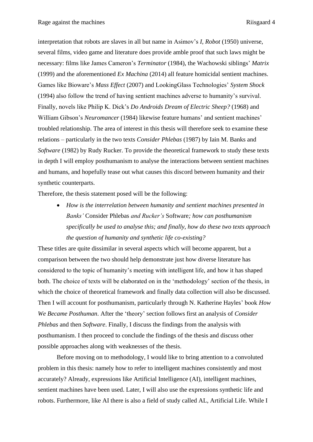interpretation that robots are slaves in all but name in Asimov's *I, Robot* (1950) universe, several films, video game and literature does provide amble proof that such laws might be necessary: films like James Cameron's *Terminator* (1984), the Wachowski siblings' *Matrix* (1999) and the aforementioned *Ex Machina* (2014) all feature homicidal sentient machines. Games like Bioware's *Mass Effect* (2007) and LookingGlass Technologies' *System Shock* (1994) also follow the trend of having sentient machines adverse to humanity's survival. Finally, novels like Philip K. Dick's *Do Androids Dream of Electric Sheep?* (1968) and William Gibson's *Neuromancer* (1984) likewise feature humans' and sentient machines' troubled relationship. The area of interest in this thesis will therefore seek to examine these relations – particularly in the two texts *Consider Phlebas* (1987) by Iain M. Banks and *Software* (1982) by Rudy Rucker. To provide the theoretical framework to study these texts in depth I will employ posthumanism to analyse the interactions between sentient machines and humans, and hopefully tease out what causes this discord between humanity and their synthetic counterparts.

Therefore, the thesis statement posed will be the following:

• *How is the interrelation between humanity and sentient machines presented in Banks'* Consider Phlebas *and Rucker's* Software*; how can posthumanism specifically be used to analyse this; and finally, how do these two texts approach the question of humanity and synthetic life co-existing?*

These titles are quite dissimilar in several aspects which will become apparent, but a comparison between the two should help demonstrate just how diverse literature has considered to the topic of humanity's meeting with intelligent life, and how it has shaped both. The choice of texts will be elaborated on in the 'methodology' section of the thesis, in which the choice of theoretical framework and finally data collection will also be discussed. Then I will account for posthumanism, particularly through N. Katherine Hayles' book *How We Became Posthuman*. After the 'theory' section follows first an analysis of *Consider Phlebas* and then *Software*. Finally, I discuss the findings from the analysis with posthumanism. I then proceed to conclude the findings of the thesis and discuss other possible approaches along with weaknesses of the thesis.

Before moving on to methodology, I would like to bring attention to a convoluted problem in this thesis: namely how to refer to intelligent machines consistently and most accurately? Already, expressions like Artificial Intelligence (AI), intelligent machines, sentient machines have been used. Later, I will also use the expressions synthetic life and robots. Furthermore, like AI there is also a field of study called AL, Artificial Life. While I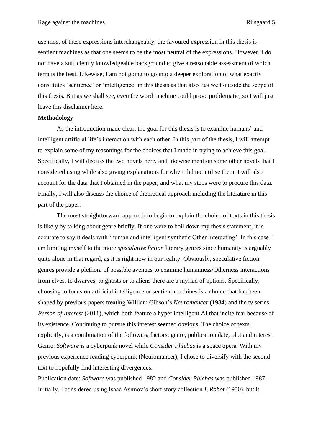use most of these expressions interchangeably, the favoured expression in this thesis is sentient machines as that one seems to be the most neutral of the expressions. However, I do not have a sufficiently knowledgeable background to give a reasonable assessment of which term is the best. Likewise, I am not going to go into a deeper exploration of what exactly constitutes 'sentience' or 'intelligence' in this thesis as that also lies well outside the scope of this thesis. But as we shall see, even the word machine could prove problematic, so I will just leave this disclaimer here.

#### <span id="page-5-0"></span>**Methodology**

As the introduction made clear, the goal for this thesis is to examine humans' and intelligent artificial life's interaction with each other. In this part of the thesis, I will attempt to explain some of my reasonings for the choices that I made in trying to achieve this goal. Specifically, I will discuss the two novels here, and likewise mention some other novels that I considered using while also giving explanations for why I did not utilise them. I will also account for the data that I obtained in the paper, and what my steps were to procure this data. Finally, I will also discuss the choice of theoretical approach including the literature in this part of the paper.

The most straightforward approach to begin to explain the choice of texts in this thesis is likely by talking about genre briefly. If one were to boil down my thesis statement, it is accurate to say it deals with 'human and intelligent synthetic Other interacting'. In this case, I am limiting myself to the more *speculative fiction* literary genres since humanity is arguably quite alone in that regard, as it is right now in our reality. Obviously, speculative fiction genres provide a plethora of possible avenues to examine humanness/Otherness interactions from elves, to dwarves, to ghosts or to aliens there are a myriad of options. Specifically, choosing to focus on artificial intelligence or sentient machines is a choice that has been shaped by previous papers treating William Gibson's *Neuromancer* (1984) and the tv series *Person of Interest* (2011), which both feature a hyper intelligent AI that incite fear because of its existence. Continuing to pursue this interest seemed obvious. The choice of texts, explicitly, is a combination of the following factors: genre, publication date, plot and interest. Genre: *Software* is a cyberpunk novel while *Consider Phlebas* is a space opera. With my previous experience reading cyberpunk (Neuromancer), I chose to diversify with the second text to hopefully find interesting divergences.

Publication date: *Software* was published 1982 and *Consider Phlebas* was published 1987. Initially, I considered using Isaac Asimov's short story collection *I, Robot* (1950), but it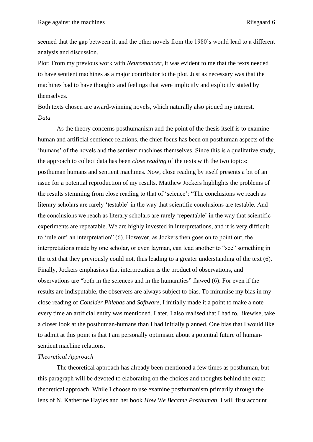seemed that the gap between it, and the other novels from the 1980's would lead to a different analysis and discussion.

Plot: From my previous work with *Neuromancer*, it was evident to me that the texts needed to have sentient machines as a major contributor to the plot. Just as necessary was that the machines had to have thoughts and feelings that were implicitly and explicitly stated by themselves.

<span id="page-6-0"></span>Both texts chosen are award-winning novels, which naturally also piqued my interest. *Data*

As the theory concerns posthumanism and the point of the thesis itself is to examine human and artificial sentience relations, the chief focus has been on posthuman aspects of the 'humans' of the novels and the sentient machines themselves. Since this is a qualitative study, the approach to collect data has been *close reading* of the texts with the two topics: posthuman humans and sentient machines. Now, close reading by itself presents a bit of an issue for a potential reproduction of my results. Matthew Jockers highlights the problems of the results stemming from close reading to that of 'science': "The conclusions we reach as literary scholars are rarely 'testable' in the way that scientific conclusions are testable. And the conclusions we reach as literary scholars are rarely 'repeatable' in the way that scientific experiments are repeatable. We are highly invested in interpretations, and it is very difficult to 'rule out' an interpretation" (6). However, as Jockers then goes on to point out, the interpretations made by one scholar, or even layman, can lead another to "see" something in the text that they previously could not, thus leading to a greater understanding of the text (6). Finally, Jockers emphasises that interpretation is the product of observations, and observations are "both in the sciences and in the humanities" flawed (6). For even if the results are indisputable, the observers are always subject to bias. To minimise my bias in my close reading of *Consider Phlebas* and *Software*, I initially made it a point to make a note every time an artificial entity was mentioned. Later, I also realised that I had to, likewise, take a closer look at the posthuman-humans than I had initially planned. One bias that I would like to admit at this point is that I am personally optimistic about a potential future of humansentient machine relations.

# <span id="page-6-1"></span>*Theoretical Approach*

The theoretical approach has already been mentioned a few times as posthuman, but this paragraph will be devoted to elaborating on the choices and thoughts behind the exact theoretical approach. While I choose to use examine posthumanism primarily through the lens of N. Katherine Hayles and her book *How We Became Posthuman*, I will first account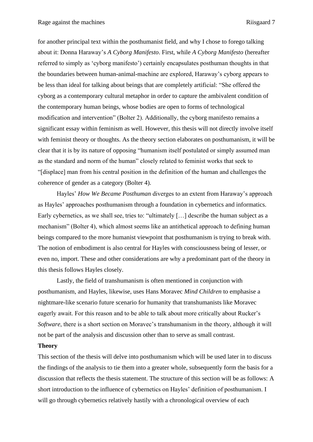for another principal text within the posthumanist field, and why I chose to forego talking about it: Donna Haraway's *A Cyborg Manifesto*. First, while *A Cyborg Manifesto* (hereafter referred to simply as 'cyborg manifesto') certainly encapsulates posthuman thoughts in that the boundaries between human-animal-machine are explored, Haraway's cyborg appears to be less than ideal for talking about beings that are completely artificial: "She offered the cyborg as a contemporary cultural metaphor in order to capture the ambivalent condition of the contemporary human beings, whose bodies are open to forms of technological modification and intervention" (Bolter 2). Additionally, the cyborg manifesto remains a significant essay within feminism as well. However, this thesis will not directly involve itself with feminist theory or thoughts. As the theory section elaborates on posthumanism, it will be clear that it is by its nature of opposing "humanism itself postulated or simply assumed man as the standard and norm of the human" closely related to feminist works that seek to "[displace] man from his central position in the definition of the human and challenges the coherence of gender as a category (Bolter 4).

Hayles' *How We Became Posthuman* diverges to an extent from Haraway's approach as Hayles' approaches posthumanism through a foundation in cybernetics and informatics. Early cybernetics, as we shall see, tries to: "ultimately [...] describe the human subject as a mechanism" (Bolter 4), which almost seems like an antithetical approach to defining human beings compared to the more humanist viewpoint that posthumanism is trying to break with. The notion of embodiment is also central for Hayles with consciousness being of lesser, or even no, import. These and other considerations are why a predominant part of the theory in this thesis follows Hayles closely.

Lastly, the field of transhumanism is often mentioned in conjunction with posthumanism, and Hayles, likewise, uses Hans Moravec *Mind Children* to emphasise a nightmare-like scenario future scenario for humanity that transhumanists like Moravec eagerly await. For this reason and to be able to talk about more critically about Rucker's *Software*, there is a short section on Moravec's transhumanism in the theory, although it will not be part of the analysis and discussion other than to serve as small contrast.

#### <span id="page-7-0"></span>**Theory**

This section of the thesis will delve into posthumanism which will be used later in to discuss the findings of the analysis to tie them into a greater whole, subsequently form the basis for a discussion that reflects the thesis statement. The structure of this section will be as follows: A short introduction to the influence of cybernetics on Hayles' definition of posthumanism. I will go through cybernetics relatively hastily with a chronological overview of each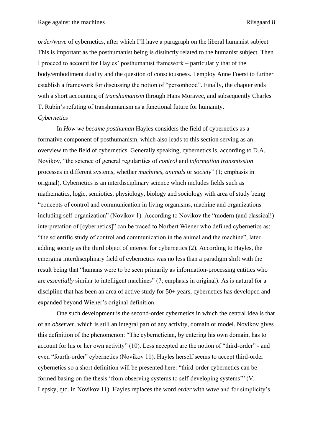*order/wave* of cybernetics, after which I'll have a paragraph on the liberal humanist subject. This is important as the posthumanist being is distinctly related to the humanist subject. Then I proceed to account for Hayles' posthumanist framework – particularly that of the body/embodiment duality and the question of consciousness. I employ Anne Foerst to further establish a framework for discussing the notion of "personhood". Finally, the chapter ends with a short accounting of *transhumanism* through Hans Moravec, and subsequently Charles T. Rubin's refuting of transhumanism as a functional future for humanity. *Cybernetics*

<span id="page-8-0"></span>In *How we became posthuman* Hayles considers the field of cybernetics as a formative component of posthumanism, which also leads to this section serving as an overview to the field of cybernetics. Generally speaking, cybernetics is, according to D.A. Novikov, "the science of general regularities of *control* and *information transmission* processes in different systems, whether *machines, animals* or *society*" (1; emphasis in original). Cybernetics is an interdisciplinary science which includes fields such as mathematics, logic, semiotics, physiology, biology and sociology with area of study being "concepts of control and communication in living organisms, machine and organizations including self-organization" (Novikov 1). According to Novikov the "modern (and classical!) interpretation of [cybernetics]" can be traced to Norbert Wiener who defined cybernetics as: "the scientific study of control and communication in the animal and the machine", later adding society as the third object of interest for cybernetics (2). According to Hayles, the emerging interdisciplinary field of cybernetics was no less than a paradigm shift with the result being that "humans were to be seen primarily as information-processing entities who are *essentially* similar to intelligent machines" (7; emphasis in original). As is natural for a discipline that has been an area of active study for 50+ years, cybernetics has developed and expanded beyond Wiener's original definition.

One such development is the second-order cybernetics in which the central idea is that of an *observer*, which is still an integral part of any activity, domain or model. Novikov gives this definition of the phenomenon: "The cybernetician, by entering his own domain, has to account for his or her own activity" (10). Less accepted are the notion of "third-order" - and even "fourth-order" cybernetics (Novikov 11). Hayles herself seems to accept third-order cybernetics so a short definition will be presented here: "third-order cybernetics can be formed basing on the thesis 'from observing systems to self-developing systems'" (V. Lepsky, qtd. in Novikov 11). Hayles replaces the word *order* with *wave* and for simplicity's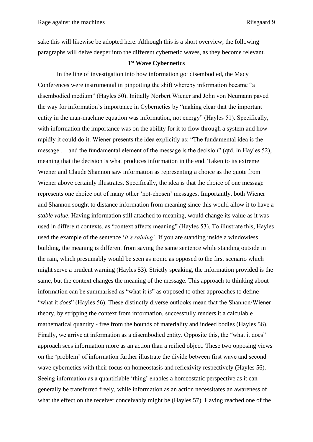sake this will likewise be adopted here. Although this is a short overview, the following paragraphs will delve deeper into the different cybernetic waves, as they become relevant.

# **1 st Wave Cybernetics**

<span id="page-9-0"></span>In the line of investigation into how information got disembodied, the Macy Conferences were instrumental in pinpoiting the shift whereby information became "a disembodied medium" (Hayles 50). Initially Norbert Wiener and John von Neumann paved the way for information's importance in Cybernetics by "making clear that the important entity in the man-machine equation was information, not energy" (Hayles 51). Specifically, with information the importance was on the ability for it to flow through a system and how rapidly it could do it. Wiener presents the idea explicitly as: "The fundamental idea is the message … and the fundamental element of the message is the decision" (qtd. in Hayles 52), meaning that the decision is what produces information in the end. Taken to its extreme Wiener and Claude Shannon saw information as representing a choice as the quote from Wiener above certainly illustrates. Specifically, the idea is that the choice of one message represents one choice out of many other 'not-chosen' messages. Importantly, both Wiener and Shannon sought to distance information from meaning since this would allow it to have a *stable value*. Having information still attached to meaning, would change its value as it was used in different contexts, as "context affects meaning" (Hayles 53). To illustrate this, Hayles used the example of the sentence '*it's raining'*. If you are standing inside a windowless building, the meaning is different from saying the same sentence while standing outside in the rain, which presumably would be seen as ironic as opposed to the first scenario which might serve a prudent warning (Hayles 53). Strictly speaking, the information provided is the same, but the context changes the meaning of the message. This approach to thinking about information can be summarised as "what it *is*" as opposed to other approaches to define "what it *does*" (Hayles 56). These distinctly diverse outlooks mean that the Shannon/Wiener theory, by stripping the context from information, successfully renders it a calculable mathematical quantity - free from the bounds of materiality and indeed bodies (Hayles 56). Finally, we arrive at information as a disembodied entity. Opposite this, the "what it does" approach sees information more as an action than a reified object. These two opposing views on the 'problem' of information further illustrate the divide between first wave and second wave cybernetics with their focus on homeostasis and reflexivity respectively (Hayles 56). Seeing information as a quantifiable 'thing' enables a homeostatic perspective as it can generally be transferred freely, while information as an action necessitates an awareness of what the effect on the receiver conceivably might be (Hayles 57). Having reached one of the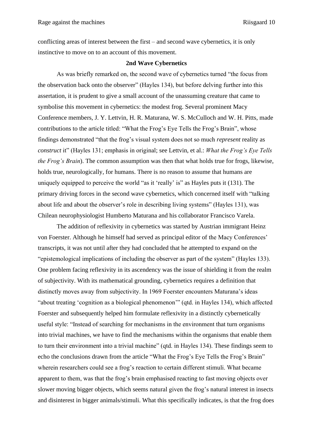conflicting areas of interest between the first – and second wave cybernetics, it is only instinctive to move on to an account of this movement.

#### **2nd Wave Cybernetics**

<span id="page-10-0"></span>As was briefly remarked on, the second wave of cybernetics turned "the focus from the observation back onto the observer" (Hayles 134), but before delving further into this assertation, it is prudent to give a small account of the unassuming creature that came to symbolise this movement in cybernetics: the modest frog. Several prominent Macy Conference members, J. Y. Lettvin, H. R. Maturana, W. S. McCulloch and W. H. Pitts, made contributions to the article titled: "What the Frog's Eye Tells the Frog's Brain", whose findings demonstrated "that the frog's visual system does not so much *represent* reality as *construct* it" (Hayles 131; emphasis in original; see Lettvin, et al.: *What the Frog's Eye Tells the Frog's Brain*). The common assumption was then that what holds true for frogs, likewise, holds true, neurologically, for humans. There is no reason to assume that humans are uniquely equipped to perceive the world "as it 'really' is" as Hayles puts it (131). The primary driving forces in the second wave cybernetics, which concerned itself with "talking about life and about the observer's role in describing living systems" (Hayles 131), was Chilean neurophysiologist Humberto Maturana and his collaborator Francisco Varela.

The addition of reflexivity in cybernetics was started by Austrian immigrant Heinz von Foerster. Although he himself had served as principal editor of the Macy Conferences' transcripts, it was not until after they had concluded that he attempted to expand on the "epistemological implications of including the observer as part of the system" (Hayles 133). One problem facing reflexivity in its ascendency was the issue of shielding it from the realm of subjectivity. With its mathematical grounding, cybernetics requires a definition that distinctly moves away from subjectivity. In 1969 Foerster encounters Maturana's ideas "about treating 'cognition as a biological phenomenon'" (qtd. in Hayles 134), which affected Foerster and subsequently helped him formulate reflexivity in a distinctly cybernetically useful style: "Instead of searching for mechanisms in the environment that turn organisms into trivial machines, we have to find the mechanisms within the organisms that enable them to turn their environment into a trivial machine" (qtd. in Hayles 134). These findings seem to echo the conclusions drawn from the article "What the Frog's Eye Tells the Frog's Brain" wherein researchers could see a frog's reaction to certain different stimuli. What became apparent to them, was that the frog's brain emphasised reacting to fast moving objects over slower moving bigger objects, which seems natural given the frog's natural interest in insects and disinterest in bigger animals/stimuli. What this specifically indicates, is that the frog does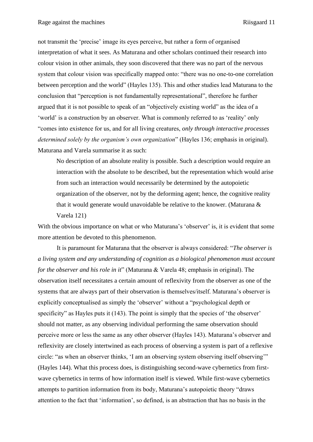not transmit the 'precise' image its eyes perceive, but rather a form of organised interpretation of what it sees. As Maturana and other scholars continued their research into colour vision in other animals, they soon discovered that there was no part of the nervous system that colour vision was specifically mapped onto: "there was no one-to-one correlation between perception and the world" (Hayles 135). This and other studies lead Maturana to the conclusion that "perception is not fundamentally representational", therefore he further argued that it is not possible to speak of an "objectively existing world" as the idea of a 'world' is a construction by an observer. What is commonly referred to as 'reality' only "comes into existence for us, and for all living creatures, *only through interactive processes determined solely by the organism's own organization*" (Hayles 136; emphasis in original). Maturana and Varela summarise it as such:

No description of an absolute reality is possible. Such a description would require an interaction with the absolute to be described, but the representation which would arise from such an interaction would necessarily be determined by the autopoietic organization of the observer, not by the deforming agent; hence, the cognitive reality that it would generate would unavoidable be relative to the knower. (Maturana & Varela 121)

With the obvious importance on what or who Maturana's 'observer' is, it is evident that some more attention be devoted to this phenomenon.

It is paramount for Maturana that the observer is always considered: "*The observer is a living system and any understanding of cognition as a biological phenomenon must account for the observer and his role in it*" (Maturana & Varela 48; emphasis in original). The observation itself necessitates a certain amount of reflexivity from the observer as one of the systems that are always part of their observation is themselves/itself. Maturana's observer is explicitly conceptualised as simply the 'observer' without a "psychological depth or specificity" as Hayles puts it (143). The point is simply that the species of 'the observer' should not matter, as any observing individual performing the same observation should perceive more or less the same as any other observer (Hayles 143). Maturana's observer and reflexivity are closely intertwined as each process of observing a system is part of a reflexive circle: "as when an observer thinks, 'I am an observing system observing itself observing'" (Hayles 144). What this process does, is distinguishing second-wave cybernetics from firstwave cybernetics in terms of how information itself is viewed. While first-wave cybernetics attempts to partition information from its body, Maturana's autopoietic theory "draws attention to the fact that 'information', so defined, is an abstraction that has no basis in the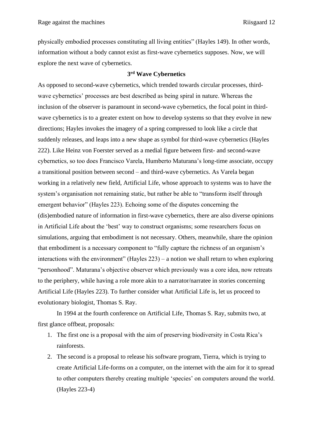physically embodied processes constituting all living entities" (Hayles 149). In other words, information without a body cannot exist as first-wave cybernetics supposes. Now, we will explore the next wave of cybernetics.

# **3 rd Wave Cybernetics**

<span id="page-12-0"></span>As opposed to second-wave cybernetics, which trended towards circular processes, thirdwave cybernetics' processes are best described as being spiral in nature. Whereas the inclusion of the observer is paramount in second-wave cybernetics, the focal point in thirdwave cybernetics is to a greater extent on how to develop systems so that they evolve in new directions; Hayles invokes the imagery of a spring compressed to look like a circle that suddenly releases, and leaps into a new shape as symbol for third-wave cybernetics (Hayles 222). Like Heinz von Foerster served as a medial figure between first- and second-wave cybernetics, so too does Francisco Varela, Humberto Maturana's long-time associate, occupy a transitional position between second – and third-wave cybernetics. As Varela began working in a relatively new field, Artificial Life, whose approach to systems was to have the system's organisation not remaining static, but rather be able to "transform itself through emergent behavior" (Hayles 223). Echoing some of the disputes concerning the (dis)embodied nature of information in first-wave cybernetics, there are also diverse opinions in Artificial Life about the 'best' way to construct organisms; some researchers focus on simulations, arguing that embodiment is not necessary. Others, meanwhile, share the opinion that embodiment is a necessary component to "fully capture the richness of an organism's interactions with the environment" (Hayles 223) – a notion we shall return to when exploring "personhood". Maturana's objective observer which previously was a core idea, now retreats to the periphery, while having a role more akin to a narrator/narratee in stories concerning Artificial Life (Hayles 223). To further consider what Artificial Life is, let us proceed to evolutionary biologist, Thomas S. Ray.

In 1994 at the fourth conference on Artificial Life, Thomas S. Ray, submits two, at first glance offbeat, proposals:

- 1. The first one is a proposal with the aim of preserving biodiversity in Costa Rica's rainforests.
- 2. The second is a proposal to release his software program, Tierra, which is trying to create Artificial Life-forms on a computer, on the internet with the aim for it to spread to other computers thereby creating multiple 'species' on computers around the world. (Hayles 223-4)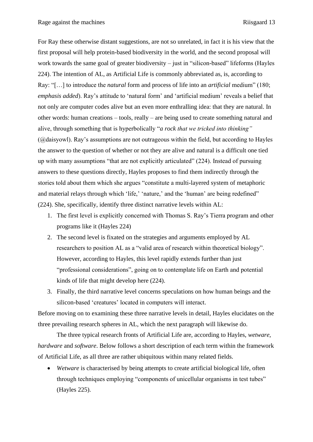For Ray these otherwise distant suggestions, are not so unrelated, in fact it is his view that the first proposal will help protein-based biodiversity in the world, and the second proposal will work towards the same goal of greater biodiversity – just in "silicon-based" lifeforms (Hayles 224). The intention of AL, as Artificial Life is commonly abbreviated as, is, according to Ray: "[…] to introduce the *natural* form and process of life into an *artificial* medium" (180; *emphasis added*). Ray's attitude to 'natural form' and 'artificial medium' reveals a belief that not only are computer codes alive but an even more enthralling idea: that they are natural. In other words: human creations – tools, really – are being used to create something natural and alive, through something that is hyperbolically "*a rock that we tricked into thinking"*  (@daisyowl). Ray's assumptions are not outrageous within the field, but according to Hayles the answer to the question of whether or not they are alive and natural is a difficult one tied up with many assumptions "that are not explicitly articulated" (224). Instead of pursuing answers to these questions directly, Hayles proposes to find them indirectly through the stories told about them which she argues "constitute a multi-layered system of metaphoric and material relays through which 'life,' 'nature,' and the 'human' are being redefined" (224). She, specifically, identify three distinct narrative levels within AL:

- 1. The first level is explicitly concerned with Thomas S. Ray's Tierra program and other programs like it (Hayles 224)
- 2. The second level is fixated on the strategies and arguments employed by AL researchers to position AL as a "valid area of research within theoretical biology". However, according to Hayles, this level rapidly extends further than just "professional considerations", going on to contemplate life on Earth and potential kinds of life that might develop here (224).
- 3. Finally, the third narrative level concerns speculations on how human beings and the silicon-based 'creatures' located in computers will interact.

Before moving on to examining these three narrative levels in detail, Hayles elucidates on the three prevailing research spheres in AL, which the next paragraph will likewise do.

The three typical research fronts of Artificial Life are, according to Hayles, *wetware, hardware* and *software*. Below follows a short description of each term within the framework of Artificial Life, as all three are rather ubiquitous within many related fields.

• *Wetware* is characterised by being attempts to create artificial biological life, often through techniques employing "components of unicellular organisms in test tubes" (Hayles 225).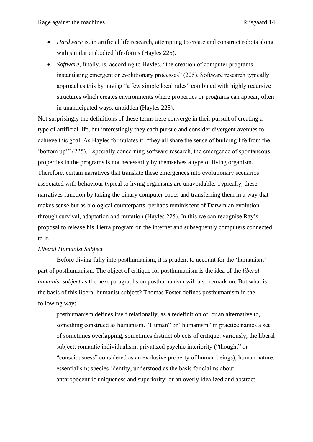- *Hardware* is, in artificial life research, attempting to create and construct robots along with similar embodied life-forms (Hayles 225).
- *Software*, finally, is, according to Hayles, "the creation of computer programs instantiating emergent or evolutionary processes" (225). Software research typically approaches this by having "a few simple local rules" combined with highly recursive structures which creates environments where properties or programs can appear, often in unanticipated ways, unbidden (Hayles 225).

Not surprisingly the definitions of these terms here converge in their pursuit of creating a type of artificial life, but interestingly they each pursue and consider divergent avenues to achieve this goal. As Hayles formulates it: "they all share the sense of building life from the 'bottom up'" (225). Especially concerning software research, the emergence of spontaneous properties in the programs is not necessarily by themselves a type of living organism. Therefore, certain narratives that translate these emergences into evolutionary scenarios associated with behaviour typical to living organisms are unavoidable. Typically, these narratives function by taking the binary computer codes and transferring them in a way that makes sense but as biological counterparts, perhaps reminiscent of Darwinian evolution through survival, adaptation and mutation (Hayles 225). In this we can recognise Ray's proposal to release his Tierra program on the internet and subsequently computers connected to it.

# <span id="page-14-0"></span>*Liberal Humanist Subject*

Before diving fully into posthumanism, it is prudent to account for the 'humanism' part of posthumanism. The object of critique for posthumanism is the idea of the *liberal humanist subject* as the next paragraphs on posthumanism will also remark on. But what is the basis of this liberal humanist subject? Thomas Foster defines posthumanism in the following way:

posthumanism defines itself relationally, as a redefinition of, or an alternative to, something construed as humanism. "Human" or "humanism" in practice names a set of sometimes overlapping, sometimes distinct objects of critique: variously, the liberal subject; romantic individualism; privatized psychic interiority ("thought" or "consciousness" considered as an exclusive property of human beings); human nature; essentialism; species‐identity, understood as the basis for claims about anthropocentric uniqueness and superiority; or an overly idealized and abstract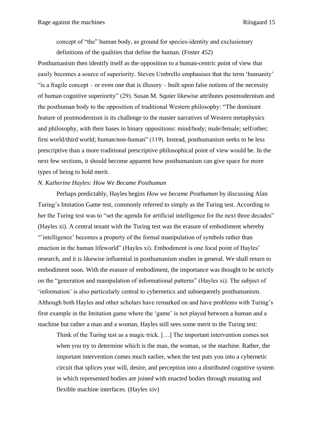concept of "the" human body, as ground for species‐identity and exclusionary definitions of the qualities that define the human. (Foster 452)

Posthumanism then identify itself as the opposition to a human-centric point of view that easily becomes a source of superiority. Steven Umbrello emphasises that the term 'humanity' "is a fragile concept – or even one that is illusory – built upon false notions of the necessity of human cognitive superiority" (29). Susan M. Squier likewise attributes postmodernism and the posthuman body to the opposition of traditional Western philosophy: "The dominant feature of postmodernism is its challenge to the master narratives of Western metaphysics and philosophy, with their bases in binary oppositions: mind/body; male/female; self/other; first world/third world; human/non-human" (119). Instead, posthumanism seeks to be less prescriptive than a more traditional prescriptive philosophical point of view would be. In the next few sections, it should become apparent how posthumanism can give space for more types of being to hold merit.

#### <span id="page-15-0"></span>*N. Katherine Hayles: How We Became Posthuman*

Perhaps predictably, Hayles begins *How we became Posthuman* by discussing Alan Turing's Imitation Game test, commonly referred to simply as the Turing test. According to her the Turing test was to "set the agenda for artificial intelligence for the next three decades" (Hayles xi). A central tenant with the Turing test was the erasure of embodiment whereby "'intelligence' becomes a property of the formal manipulation of symbols rather than enaction in the human lifeworld" (Hayles xi). Embodiment is one focal point of Hayles' research, and it is likewise influential in posthumanism studies in general. We shall return to embodiment soon. With the erasure of embodiment, the importance was thought to be strictly on the "generation and manipulation of informational patterns" (Hayles xi). The subject of 'information' is also particularly central to cybernetics and subsequently posthumanism. Although both Hayles and other scholars have remarked on and have problems with Turing's first example in the Imitation game where the 'game' is not played between a human and a machine but rather a man and a woman, Hayles still sees some merit to the Turing test:

Think of the Turing test as a magic trick. […] The important intervention comes not when you try to determine which is the man, the woman, or the machine. Rather, the important intervention comes much earlier, when the test puts you into a cybernetic circuit that splices your will, desire, and perception into a distributed cognitive system in which represented bodies are joined with enacted bodies through mutating and flexible machine interfaces. (Hayles xiv)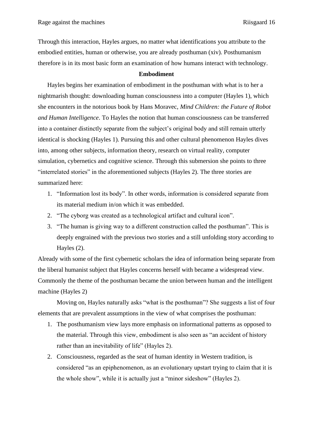Through this interaction, Hayles argues, no matter what identifications you attribute to the embodied entities, human or otherwise, you are already posthuman (xiv). Posthumanism therefore is in its most basic form an examination of how humans interact with technology.

# **Embodiment**

<span id="page-16-0"></span>Hayles begins her examination of embodiment in the posthuman with what is to her a nightmarish thought: downloading human consciousness into a computer (Hayles 1), which she encounters in the notorious book by Hans Moravec, *Mind Children: the Future of Robot and Human Intelligence*. To Hayles the notion that human consciousness can be transferred into a container distinctly separate from the subject's original body and still remain utterly identical is shocking (Hayles 1). Pursuing this and other cultural phenomenon Hayles dives into, among other subjects, information theory, research on virtual reality, computer simulation, cybernetics and cognitive science. Through this submersion she points to three "interrelated stories" in the aforementioned subjects (Hayles 2). The three stories are summarized here:

- 1. "Information lost its body". In other words, information is considered separate from its material medium in/on which it was embedded.
- 2. "The cyborg was created as a technological artifact and cultural icon".
- 3. "The human is giving way to a different construction called the posthuman". This is deeply engrained with the previous two stories and a still unfolding story according to Hayles (2).

Already with some of the first cybernetic scholars the idea of information being separate from the liberal humanist subject that Hayles concerns herself with became a widespread view. Commonly the theme of the posthuman became the union between human and the intelligent machine (Hayles 2)

Moving on, Hayles naturally asks "what is the posthuman"? She suggests a list of four elements that are prevalent assumptions in the view of what comprises the posthuman:

- 1. The posthumanism view lays more emphasis on informational patterns as opposed to the material. Through this view, embodiment is also seen as "an accident of history rather than an inevitability of life" (Hayles 2).
- 2. Consciousness, regarded as the seat of human identity in Western tradition, is considered "as an epiphenomenon, as an evolutionary upstart trying to claim that it is the whole show", while it is actually just a "minor sideshow" (Hayles 2).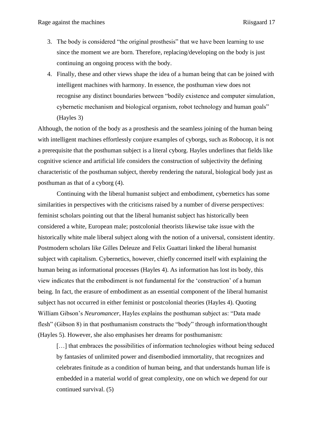- 3. The body is considered "the original prosthesis" that we have been learning to use since the moment we are born. Therefore, replacing/developing on the body is just continuing an ongoing process with the body.
- 4. Finally, these and other views shape the idea of a human being that can be joined with intelligent machines with harmony. In essence, the posthuman view does not recognise any distinct boundaries between "bodily existence and computer simulation, cybernetic mechanism and biological organism, robot technology and human goals" (Hayles 3)

Although, the notion of the body as a prosthesis and the seamless joining of the human being with intelligent machines effortlessly conjure examples of cyborgs, such as Robocop, it is not a prerequisite that the posthuman subject is a literal cyborg. Hayles underlines that fields like cognitive science and artificial life considers the construction of subjectivity the defining characteristic of the posthuman subject, thereby rendering the natural, biological body just as posthuman as that of a cyborg (4).

Continuing with the liberal humanist subject and embodiment, cybernetics has some similarities in perspectives with the criticisms raised by a number of diverse perspectives: feminist scholars pointing out that the liberal humanist subject has historically been considered a white, European male; postcolonial theorists likewise take issue with the historically white male liberal subject along with the notion of a universal, consistent identity. Postmodern scholars like Gilles Deleuze and Felix Guattari linked the liberal humanist subject with capitalism. Cybernetics, however, chiefly concerned itself with explaining the human being as informational processes (Hayles 4). As information has lost its body, this view indicates that the embodiment is not fundamental for the 'construction' of a human being. In fact, the erasure of embodiment as an essential component of the liberal humanist subject has not occurred in either feminist or postcolonial theories (Hayles 4). Quoting William Gibson's *Neuromancer*, Hayles explains the posthuman subject as: "Data made flesh" (Gibson 8) in that posthumanism constructs the "body" through information/thought (Hayles 5). However, she also emphasises her dreams for posthumanism:

[...] that embraces the possibilities of information technologies without being seduced by fantasies of unlimited power and disembodied immortality, that recognizes and celebrates finitude as a condition of human being, and that understands human life is embedded in a material world of great complexity, one on which we depend for our continued survival. (5)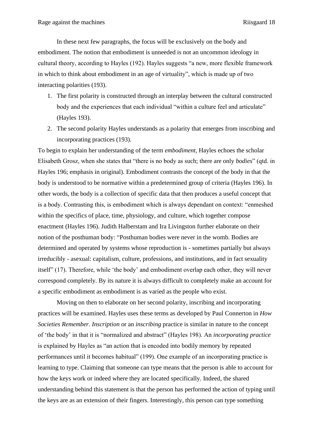In these next few paragraphs, the focus will be exclusively on the body and embodiment. The notion that embodiment is unneeded is not an uncommon ideology in cultural theory, according to Hayles (192). Hayles suggests "a new, more flexible framework in which to think about embodiment in an age of virtuality", which is made up of two interacting polarities (193).

- 1. The first polarity is constructed through an interplay between the cultural constructed body and the experiences that each individual "within a culture feel and articulate" (Hayles 193).
- 2. The second polarity Hayles understands as a polarity that emerges from inscribing and incorporating practices (193).

To begin to explain her understanding of the term *embodiment*, Hayles echoes the scholar Elisabeth Grosz, when she states that "there is no body as such; there are only *bodies*" (qtd. in Hayles 196; emphasis in original). Embodiment contrasts the concept of the body in that the body is understood to be normative within a predetermined group of criteria (Hayles 196). In other words, the body is a collection of specific data that then produces a useful concept that is a body. Contrasting this, is embodiment which is always dependant on context: "enmeshed within the specifics of place, time, physiology, and culture, which together compose enactment (Hayles 196). Judith Halberstam and Ira Livingston further elaborate on their notion of the posthuman body: "Posthuman bodies were never in the womb. Bodies are determined and operated by systems whose reproduction is - sometimes partially but always irreducibly - asexual: capitalism, culture, professions, and institutions, and in fact sexuality itself" (17). Therefore, while 'the body' and embodiment overlap each other, they will never correspond completely. By its nature it is always difficult to completely make an account for a specific embodiment as embodiment is as varied as the people who exist.

Moving on then to elaborate on her second polarity, inscribing and incorporating practices will be examined. Hayles uses these terms as developed by Paul Connerton in *How Societies Remember*. *Inscription* or an *inscribing* practice is similar in nature to the concept of 'the body' in that it is "normalized and abstract" (Hayles 198). An *incorporating practice* is explained by Hayles as "an action that is encoded into bodily memory by repeated performances until it becomes habitual" (199). One example of an incorporating practice is learning to type. Claiming that someone can type means that the person is able to account for how the keys work or indeed where they are located specifically. Indeed, the shared understanding behind this statement is that the person has performed the action of typing until the keys are as an extension of their fingers. Interestingly, this person can type something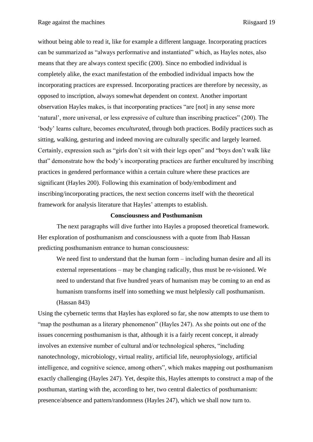without being able to read it, like for example a different language. Incorporating practices can be summarized as "always performative and instantiated" which, as Hayles notes, also means that they are always context specific (200). Since no embodied individual is completely alike, the exact manifestation of the embodied individual impacts how the incorporating practices are expressed. Incorporating practices are therefore by necessity, as opposed to inscription, always somewhat dependent on context. Another important observation Hayles makes, is that incorporating practices "are [not] in any sense more 'natural', more universal, or less expressive of culture than inscribing practices" (200). The 'body' learns culture, becomes *enculturated*, through both practices. Bodily practices such as sitting, walking, gesturing and indeed moving are culturally specific and largely learned. Certainly, expression such as "girls don't sit with their legs open" and "boys don't walk like that" demonstrate how the body's incorporating practices are further encultured by inscribing practices in gendered performance within a certain culture where these practices are significant (Hayles 200). Following this examination of body/embodiment and inscribing/incorporating practices, the next section concerns itself with the theoretical framework for analysis literature that Hayles' attempts to establish.

#### **Consciousness and Posthumanism**

<span id="page-19-0"></span>The next paragraphs will dive further into Hayles a proposed theoretical framework. Her exploration of posthumanism and consciousness with a quote from Ihab Hassan predicting posthumanism entrance to human consciousness:

We need first to understand that the human form – including human desire and all its external representations – may be changing radically, thus must be re-visioned. We need to understand that five hundred years of humanism may be coming to an end as humanism transforms itself into something we must helplessly call posthumanism. (Hassan 843)

Using the cybernetic terms that Hayles has explored so far, she now attempts to use them to "map the posthuman as a literary phenomenon" (Hayles 247). As she points out one of the issues concerning posthumanism is that, although it is a fairly recent concept, it already involves an extensive number of cultural and/or technological spheres, "including nanotechnology, microbiology, virtual reality, artificial life, neurophysiology, artificial intelligence, and cognitive science, among others", which makes mapping out posthumanism exactly challenging (Hayles 247). Yet, despite this, Hayles attempts to construct a map of the posthuman, starting with the, according to her, two central dialectics of posthumanism: presence/absence and pattern/randomness (Hayles 247), which we shall now turn to.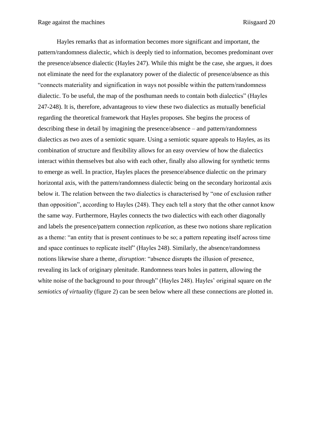Hayles remarks that as information becomes more significant and important, the pattern/randomness dialectic, which is deeply tied to information, becomes predominant over the presence/absence dialectic (Hayles 247). While this might be the case, she argues, it does not eliminate the need for the explanatory power of the dialectic of presence/absence as this "connects materiality and signification in ways not possible within the pattern/randomness dialectic. To be useful, the map of the posthuman needs to contain both dialectics" (Hayles 247-248). It is, therefore, advantageous to view these two dialectics as mutually beneficial regarding the theoretical framework that Hayles proposes. She begins the process of describing these in detail by imagining the presence/absence – and pattern/randomness dialectics as two axes of a semiotic square. Using a semiotic square appeals to Hayles, as its combination of structure and flexibility allows for an easy overview of how the dialectics interact within themselves but also with each other, finally also allowing for synthetic terms to emerge as well. In practice, Hayles places the presence/absence dialectic on the primary horizontal axis, with the pattern/randomness dialectic being on the secondary horizontal axis below it. The relation between the two dialectics is characterised by "one of exclusion rather than opposition", according to Hayles (248). They each tell a story that the other cannot know the same way. Furthermore, Hayles connects the two dialectics with each other diagonally and labels the presence/pattern connection *replication,* as these two notions share replication as a theme: "an entity that is present continues to be so; a pattern repeating itself across time and space continues to replicate itself" (Hayles 248). Similarly, the absence/randomness notions likewise share a theme, *disruption*: "absence disrupts the illusion of presence, revealing its lack of originary plenitude. Randomness tears holes in pattern, allowing the white noise of the background to pour through" (Hayles 248). Hayles' original square on *the semiotics of virtuality* (figure 2) can be seen below where all these connections are plotted in.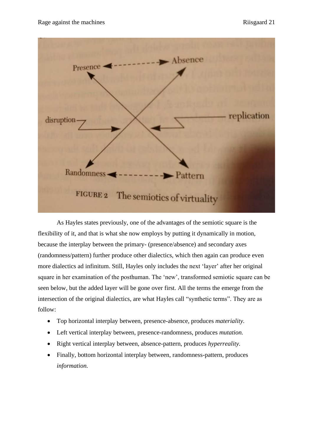

As Hayles states previously, one of the advantages of the semiotic square is the flexibility of it, and that is what she now employs by putting it dynamically in motion, because the interplay between the primary- (presence/absence) and secondary axes (randomness/pattern) further produce other dialectics, which then again can produce even more dialectics ad infinitum. Still, Hayles only includes the next 'layer' after her original square in her examination of the posthuman. The 'new', transformed semiotic square can be seen below, but the added layer will be gone over first. All the terms the emerge from the intersection of the original dialectics, are what Hayles call "synthetic terms". They are as follow:

- Top horizontal interplay between, presence-absence, produces *materiality.*
- Left vertical interplay between, presence-randomness, produces *mutation.*
- Right vertical interplay between, absence-pattern, produces *hyperreality.*
- Finally, bottom horizontal interplay between, randomness-pattern, produces *information.*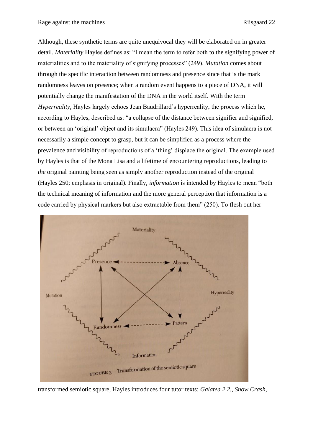Although, these synthetic terms are quite unequivocal they will be elaborated on in greater detail. *Materiality* Hayles defines as: "I mean the term to refer both to the signifying power of materialities and to the materiality of signifying processes" (249). *Mutation* comes about through the specific interaction between randomness and presence since that is the mark randomness leaves on presence; when a random event happens to a piece of DNA, it will potentially change the manifestation of the DNA in the world itself. With the term *Hyperreality,* Hayles largely echoes Jean Baudrillard's hyperreality, the process which he, according to Hayles, described as: "a collapse of the distance between signifier and signified, or between an 'original' object and its simulacra" (Hayles 249). This idea of simulacra is not necessarily a simple concept to grasp, but it can be simplified as a process where the prevalence and visibility of reproductions of a 'thing' displace the original. The example used by Hayles is that of the Mona Lisa and a lifetime of encountering reproductions, leading to *the* original painting being seen as simply another reproduction instead of the original (Hayles 250; emphasis in original). Finally, *information* is intended by Hayles to mean "both the technical meaning of information and the more general perception that information is a code carried by physical markers but also extractable from them" (250). To flesh out her



transformed semiotic square, Hayles introduces four tutor texts: *Galatea 2.2.*, *Snow Crash,*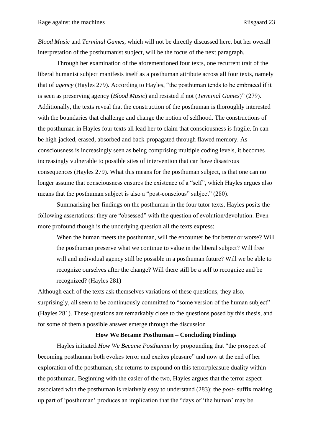*Blood Music* and *Terminal Games*, which will not be directly discussed here, but her overall interpretation of the posthumanist subject, will be the focus of the next paragraph.

Through her examination of the aforementioned four texts, one recurrent trait of the liberal humanist subject manifests itself as a posthuman attribute across all four texts, namely that of *agency* (Hayles 279). According to Hayles, "the posthuman tends to be embraced if it is seen as preserving agency (*Blood Music*) and resisted if not (*Terminal Games*)" (279). Additionally, the texts reveal that the construction of the posthuman is thoroughly interested with the boundaries that challenge and change the notion of selfhood. The constructions of the posthuman in Hayles four texts all lead her to claim that consciousness is fragile. In can be high-jacked, erased, absorbed and back-propagated through flawed memory. As consciousness is increasingly seen as being comprising multiple coding levels, it becomes increasingly vulnerable to possible sites of intervention that can have disastrous consequences (Hayles 279). What this means for the posthuman subject, is that one can no longer assume that consciousness ensures the existence of a "self", which Hayles argues also means that the posthuman subject is also a "post-conscious" subject" (280).

Summarising her findings on the posthuman in the four tutor texts, Hayles posits the following assertations: they are "obsessed" with the question of evolution/devolution. Even more profound though is the underlying question all the texts express:

When the human meets the posthuman, will the encounter be for better or worse? Will the posthuman preserve what we continue to value in the liberal subject? Will free will and individual agency still be possible in a posthuman future? Will we be able to recognize ourselves after the change? Will there still be a self to recognize and be recognized? (Hayles 281)

Although each of the texts ask themselves variations of these questions, they also, surprisingly, all seem to be continuously committed to "some version of the human subject" (Hayles 281). These questions are remarkably close to the questions posed by this thesis, and for some of them a possible answer emerge through the discussion

#### <span id="page-23-0"></span>**How We Became Posthuman – Concluding Findings**

Hayles initiated *How We Became Posthuman* by propounding that "the prospect of becoming posthuman both evokes terror and excites pleasure" and now at the end of her exploration of the posthuman, she returns to expound on this terror/pleasure duality within the posthuman. Beginning with the easier of the two, Hayles argues that the terror aspect associated with the posthuman is relatively easy to understand (283); the *post-* suffix making up part of 'posthuman' produces an implication that the "days of 'the human' may be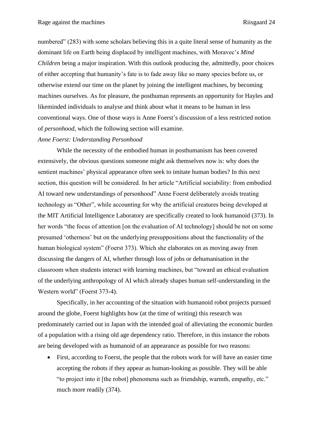numbered" (283) with some scholars believing this in a quite literal sense of humanity as the dominant life on Earth being displaced by intelligent machines, with Moravec's *Mind Children* being a major inspiration. With this outlook producing the, admittedly, poor choices of either accepting that humanity's fate is to fade away like so many species before us, or otherwise extend our time on the planet by joining the intelligent machines, by becoming machines ourselves. As for pleasure, the posthuman represents an opportunity for Hayles and likeminded individuals to analyse and think about what it means to be human in less conventional ways. One of those ways is Anne Foerst's discussion of a less restricted notion of *personhood*, which the following section will examine.

#### <span id="page-24-0"></span>*Anne Foerst: Understanding Personhood*

While the necessity of the embodied human in posthumanism has been covered extensively, the obvious questions someone might ask themselves now is: why does the sentient machines' physical appearance often seek to imitate human bodies? In this next section, this question will be considered. In her article "Artificial sociability: from embodied AI toward new understandings of personhood" Anne Foerst deliberately avoids treating technology as "Other", while accounting for why the artificial creatures being developed at the MIT Artificial Intelligence Laboratory are specifically created to look humanoid (373). In her words "the focus of attention [on the evaluation of AI technology] should be not on some presumed 'otherness' but on the underlying presuppositions about the functionality of the human biological system" (Foerst 373). Which she elaborates on as moving away from discussing the dangers of AI, whether through loss of jobs or dehumanisation in the classroom when students interact with learning machines, but "toward an ethical evaluation of the underlying anthropology of AI which already shapes human self-understanding in the Western world" (Foerst 373-4).

Specifically, in her accounting of the situation with humanoid robot projects pursued around the globe, Foerst highlights how (at the time of writing) this research was predominately carried out in Japan with the intended goal of alleviating the economic burden of a population with a rising old age dependency ratio. Therefore, in this instance the robots are being developed with as humanoid of an appearance as possible for two reasons:

• First, according to Foerst, the people that the robots work for will have an easier time accepting the robots if they appear as human-looking as possible. They will be able "to project into it [the robot] phenomena such as friendship, warmth, empathy, etc." much more readily (374).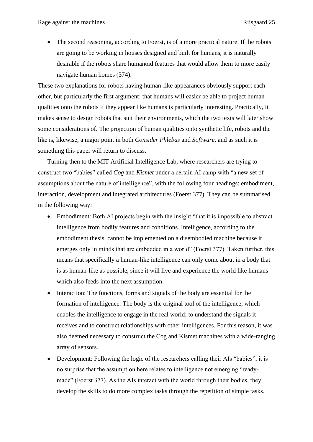• The second reasoning, according to Foerst, is of a more practical nature. If the robots are going to be working in houses designed and built for humans, it is naturally desirable if the robots share humanoid features that would allow them to more easily navigate human homes (374).

These two explanations for robots having human-like appearances obviously support each other, but particularly the first argument: that humans will easier be able to project human qualities onto the robots if they appear like humans is particularly interesting. Practically, it makes sense to design robots that suit their environments, which the two texts will later show some considerations of. The projection of human qualities onto synthetic life, robots and the like is, likewise, a major point in both *Consider Phlebas* and *Software,* and as such it is something this paper will return to discuss.

Turning then to the MIT Artificial Intelligence Lab, where researchers are trying to construct two "babies" called *Cog* and *Kismet* under a certain AI camp with "a new set of assumptions about the nature of intelligence", with the following four headings: embodiment, interaction, development and integrated architectures (Foerst 377). They can be summarised in the following way:

- Embodiment: Both AI projects begin with the insight "that it is impossible to abstract intelligence from bodily features and conditions. Intelligence, according to the embodiment thesis, cannot be implemented on a disembodied machine because it emerges only in minds that are embedded in a world" (Foerst 377). Taken further, this means that specifically a human-like intelligence can only come about in a body that is as human-like as possible, since it will live and experience the world like humans which also feeds into the next assumption.
- Interaction: The functions, forms and signals of the body are essential for the formation of intelligence. The body is the original tool of the intelligence, which enables the intelligence to engage in the real world; to understand the signals it receives and to construct relationships with other intelligences. For this reason, it was also deemed necessary to construct the Cog and Kismet machines with a wide-ranging array of sensors.
- Development: Following the logic of the researchers calling their AIs "babies", it is no surprise that the assumption here relates to intelligence not emerging "readymade" (Foerst 377). As the AIs interact with the world through their bodies, they develop the skills to do more complex tasks through the repetition of simple tasks.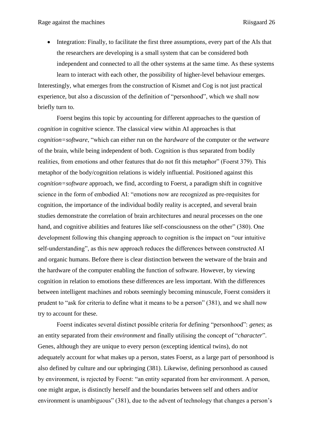• Integration: Finally, to facilitate the first three assumptions, every part of the AIs that the researchers are developing is a small system that can be considered both independent and connected to all the other systems at the same time. As these systems

learn to interact with each other, the possibility of higher-level behaviour emerges. Interestingly, what emerges from the construction of Kismet and Cog is not just practical experience, but also a discussion of the definition of "personhood", which we shall now briefly turn to.

Foerst begins this topic by accounting for different approaches to the question of *cognition* in cognitive science. The classical view within AI approaches is that *cognition=software*, "which can either run on the *hardware* of the computer or the *wetware* of the brain, while being independent of both. Cognition is thus separated from bodily realities, from emotions and other features that do not fit this metaphor" (Foerst 379). This metaphor of the body/cognition relations is widely influential. Positioned against this *cognition=software* approach, we find, according to Foerst, a paradigm shift in cognitive science in the form of embodied AI: "emotions now are recognized as pre-requisites for cognition, the importance of the individual bodily reality is accepted, and several brain studies demonstrate the correlation of brain architectures and neural processes on the one hand, and cognitive abilities and features like self-consciousness on the other" (380). One development following this changing approach to cognition is the impact on "our intuitive self-understanding", as this new approach reduces the differences between constructed AI and organic humans. Before there is clear distinction between the wetware of the brain and the hardware of the computer enabling the function of software. However, by viewing cognition in relation to emotions these differences are less important. With the differences between intelligent machines and robots seemingly becoming minuscule, Foerst considers it prudent to "ask for criteria to define what it means to be a person" (381), and we shall now try to account for these.

Foerst indicates several distinct possible criteria for defining "personhood": *genes*; as an entity separated from their *environment* and finally utilising the concept of "*character*". Genes, although they are unique to every person (excepting identical twins), do not adequately account for what makes up a person, states Foerst, as a large part of personhood is also defined by culture and our upbringing (381). Likewise, defining personhood as caused by environment, is rejected by Foerst: "an entity separated from her environment. A person, one might argue, is distinctly herself and the boundaries between self and others and/or environment is unambiguous" (381), due to the advent of technology that changes a person's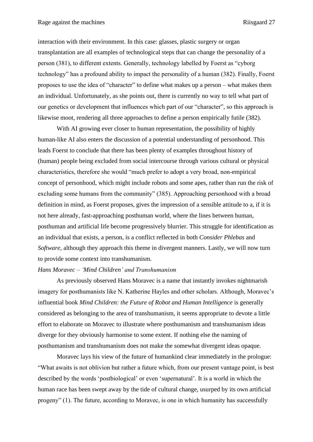interaction with their environment. In this case: glasses, plastic surgery or organ transplantation are all examples of technological steps that can change the personality of a person (381), to different extents. Generally, technology labelled by Foerst as "cyborg technology" has a profound ability to impact the personality of a human (382). Finally, Foerst proposes to use the idea of "character" to define what makes up a person – what makes them an individual. Unfortunately, as she points out, there is currently no way to tell what part of our genetics or development that influences which part of our "character", so this approach is likewise moot, rendering all three approaches to define a person empirically futile (382).

With AI growing ever closer to human representation, the possibility of highly human-like AI also enters the discussion of a potential understanding of personhood. This leads Foerst to conclude that there has been plenty of examples throughout history of (human) people being excluded from social intercourse through various cultural or physical characteristics, therefore she would "much prefer to adopt a very broad, non-empirical concept of personhood, which might include robots and some apes, rather than run the risk of excluding some humans from the community" (385). Approaching personhood with a broad definition in mind, as Foerst proposes, gives the impression of a sensible attitude to a, if it is not here already, fast-approaching posthuman world, where the lines between human, posthuman and artificial life become progressively blurrier. This struggle for identification as an individual that exists, a person, is a conflict reflected in both *Consider Phlebas* and *Software*, although they approach this theme in divergent manners. Lastly, we will now turn to provide some context into transhumanism.

#### <span id="page-27-0"></span>*Hans Moravec – 'Mind Children' and Transhumanism*

As previously observed Hans Moravec is a name that instantly invokes nightmarish imagery for posthumanists like N. Katherine Hayles and other scholars. Although, Moravec's influential book *Mind Children: the Future of Robot and Human Intelligence* is generally considered as belonging to the area of transhumanism, it seems appropriate to devote a little effort to elaborate on Moravec to illustrate where posthumanism and transhumanism ideas diverge for they obviously harmonise to some extent. If nothing else the naming of posthumanism and transhumanism does not make the somewhat divergent ideas opaque.

Moravec lays his view of the future of humankind clear immediately in the prologue: "What awaits is not oblivion but rather a future which, from our present vantage point, is best described by the words 'postbiological' or even 'supernatural'. It is a world in which the human race has been swept away by the tide of cultural change, usurped by its own artificial progeny" (1). The future, according to Moravec, is one in which humanity has successfully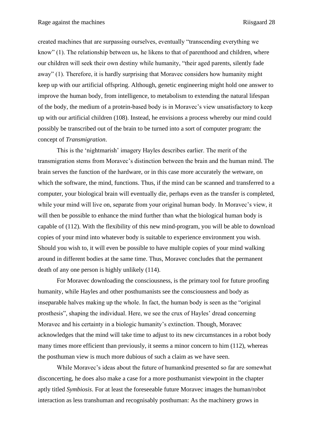created machines that are surpassing ourselves, eventually "transcending everything we know" (1). The relationship between us, he likens to that of parenthood and children, where our children will seek their own destiny while humanity, "their aged parents, silently fade away" (1). Therefore, it is hardly surprising that Moravec considers how humanity might keep up with our artificial offspring. Although, genetic engineering might hold one answer to improve the human body, from intelligence, to metabolism to extending the natural lifespan of the body, the medium of a protein-based body is in Moravec's view unsatisfactory to keep up with our artificial children (108). Instead, he envisions a process whereby our mind could possibly be transcribed out of the brain to be turned into a sort of computer program: the concept of *Transmigration*.

This is the 'nightmarish' imagery Hayles describes earlier. The merit of the transmigration stems from Moravec's distinction between the brain and the human mind. The brain serves the function of the hardware, or in this case more accurately the wetware, on which the software, the mind, functions. Thus, if the mind can be scanned and transferred to a computer, your biological brain will eventually die, perhaps even as the transfer is completed, while your mind will live on, separate from your original human body. In Moravec's view, it will then be possible to enhance the mind further than what the biological human body is capable of (112). With the flexibility of this new mind-program, you will be able to download copies of your mind into whatever body is suitable to experience environment you wish. Should you wish to, it will even be possible to have multiple copies of your mind walking around in different bodies at the same time. Thus, Moravec concludes that the permanent death of any one person is highly unlikely (114).

For Moravec downloading the consciousness, is the primary tool for future proofing humanity, while Hayles and other posthumanists see the consciousness and body as inseparable halves making up the whole. In fact, the human body is seen as the "original prosthesis", shaping the individual. Here, we see the crux of Hayles' dread concerning Moravec and his certainty in a biologic humanity's extinction. Though, Moravec acknowledges that the mind will take time to adjust to its new circumstances in a robot body many times more efficient than previously, it seems a minor concern to him (112), whereas the posthuman view is much more dubious of such a claim as we have seen.

While Moravec's ideas about the future of humankind presented so far are somewhat disconcerting, he does also make a case for a more posthumanist viewpoint in the chapter aptly titled *Symbiosis*. For at least the foreseeable future Moravec images the human/robot interaction as less transhuman and recognisably posthuman: As the machinery grows in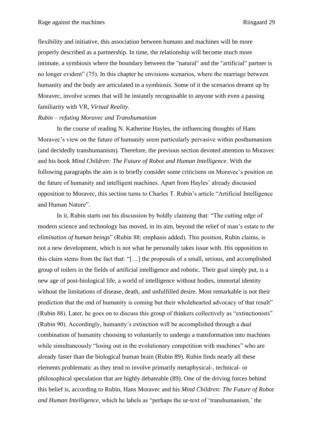flexibility and initiative, this association between humans and machines will be more properly described as a partnership. In time, the relationship will become much more intimate, a symbiosis where the boundary between the "natural" and the "artificial" partner is no longer evident" (75). In this chapter he envisions scenarios, where the marriage between humanity and the body are articulated in a symbiosis. Some of it the scenarios dreamt up by Moravec, involve scenes that will be instantly recognisable to anyone with even a passing familiarity with VR, *Virtual Reality*.

# <span id="page-29-0"></span>*Rubin – refuting Moravec and Transhumanism*

In the course of reading N. Katherine Hayles, the influencing thoughts of Hans Moravec's view on the future of humanity seem particularly pervasive within posthumanism (and decidedly transhumanism). Therefore, the previous section devoted attention to Moravec and his book *Mind Children: The Future of Robot and Human Intelligence*. With the following paragraphs the aim is to briefly consider some criticisms on Moravec's position on the future of humanity and intelligent machines. Apart from Hayles' already discussed opposition to Moravec, this section turns to Charles T. Rubin's article "Artificial Intelligence and Human Nature".

In it, Rubin starts out his discussion by boldly claiming that: "The cutting edge of modern science and technology has moved, in its aim, beyond the relief of man's estate to *the elimination of human beings*" (Rubin 88; emphasis added). This position, Rubin claims, is not a new development, which is not what he personally takes issue with. His opposition to this claim stems from the fact that: "[…] the proposals of a small, serious, and accomplished group of toilers in the fields of artificial intelligence and robotic. Their goal simply put, is a new age of post-biological life, a world of intelligence without bodies, immortal identity without the limitations of disease, death, and unfulfilled desire. Most remarkable is not their prediction that the end of humanity is coming but their wholehearted advocacy of that result" (Rubin 88). Later, he goes on to discuss this group of thinkers collectively as "extinctionists" (Rubin 90). Accordingly, humanity's extinction will be accomplished through a dual combination of humanity choosing to voluntarily to undergo a transformation into machines while simultaneously "losing out in the evolutionary competition with machines" who are already faster than the biological human brain (Rubin 89). Rubin finds nearly all these elements problematic as they tend to involve primarily metaphysical-, technical- or philosophical speculation that are highly debateable (89). One of the driving forces behind this belief is, according to Rubin, Hans Moravec and his *Mind Children: The Future of Robot and Human Intelligence*, which he labels as "perhaps the ur-text of 'transhumanism,' the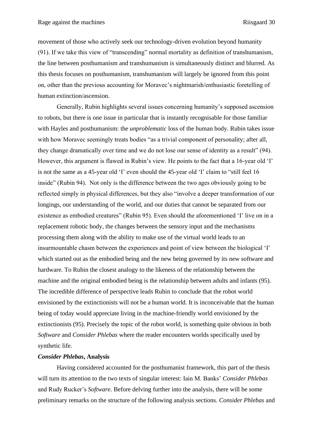movement of those who actively seek our technology-driven evolution beyond humanity (91). If we take this view of "transcending" normal mortality as definition of transhumanism, the line between posthumanism and transhumanism is simultaneously distinct and blurred. As this thesis focuses on posthumanism, transhumanism will largely be ignored from this point on, other than the previous accounting for Moravec's nightmarish/enthusiastic foretelling of human extinction/ascension.

Generally, Rubin highlights several issues concerning humanity's supposed ascension to robots, but there is one issue in particular that is instantly recognisable for those familiar with Hayles and posthumanism: the *unproblematic* loss of the human body. Rubin takes issue with how Moravec seemingly treats bodies "as a trivial component of personality; after all, they change dramatically over time and we do not lose our sense of identity as a result" (94). However, this argument is flawed in Rubin's view. He points to the fact that a 16-year old 'I' is not the same as a 45-year old 'I' even should the 45-year old 'I' claim to "still feel 16 inside" (Rubin 94). Not only is the difference between the two ages obviously going to be reflected simply in physical differences, but they also "involve a deeper transformation of our longings, our understanding of the world, and our duties that cannot be separated from our existence as embodied creatures" (Rubin 95). Even should the aforementioned 'I' live on in a replacement robotic body, the changes between the sensory input and the mechanisms processing them along with the ability to make use of the virtual world leads to an insurmountable chasm between the experiences and point of view between the biological 'I' which started out as the embodied being and the new being governed by its new software and hardware. To Rubin the closest analogy to the likeness of the relationship between the machine and the original embodied being is the relationship between adults and infants (95). The incredible difference of perspective leads Rubin to conclude that the robot world envisioned by the extinctionists will not be a human world. It is inconceivable that the human being of today would appreciate living in the machine-friendly world envisioned by the extinctionists (95). Precisely the topic of the robot world, is something quite obvious in both *Software* and *Consider Phlebas* where the reader encounters worlds specifically used by synthetic life.

# <span id="page-30-0"></span>*Consider Phlebas***, Analysis**

Having considered accounted for the posthumanist framework, this part of the thesis will turn its attention to the two texts of singular interest: Iain M. Banks' *Consider Phlebas* and Rudy Rucker's *Software*. Before delving further into the analysis, there will be some preliminary remarks on the structure of the following analysis sections. *Consider Phlebas* and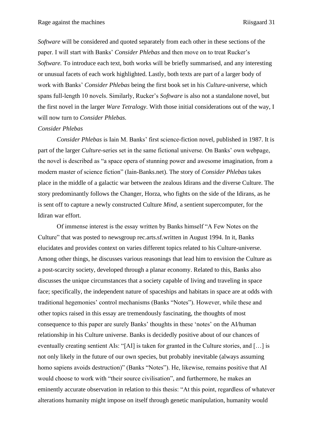*Software* will be considered and quoted separately from each other in these sections of the paper. I will start with Banks' *Consider Phlebas* and then move on to treat Rucker's *Software.* To introduce each text, both works will be briefly summarised, and any interesting or unusual facets of each work highlighted. Lastly, both texts are part of a larger body of work with Banks' *Consider Phlebas* being the first book set in his *Culture*-universe, which spans full-length 10 novels. Similarly, Rucker's *Software* is also not a standalone novel, but the first novel in the larger *Ware Tetralogy*. With those initial considerations out of the way, I will now turn to *Consider Phlebas.*

#### <span id="page-31-0"></span>*Consider Phlebas*

*Consider Phlebas* is Iain M. Banks' first science-fiction novel, published in 1987. It is part of the larger *Culture*-series set in the same fictional universe. On Banks' own webpage, the novel is described as "a space opera of stunning power and awesome imagination, from a modern master of science fiction" (Iain-Banks.net). The story of *Consider Phlebas* takes place in the middle of a galactic war between the zealous Idirans and the diverse Culture. The story predominantly follows the Changer, Horza, who fights on the side of the Idirans, as he is sent off to capture a newly constructed Culture *Mind*, a sentient supercomputer, for the Idiran war effort.

Of immense interest is the essay written by Banks himself "A Few Notes on the Culture" that was posted to newsgroup rec.arts.sf.written in August 1994. In it, Banks elucidates and provides context on varies different topics related to his Culture-universe. Among other things, he discusses various reasonings that lead him to envision the Culture as a post-scarcity society, developed through a planar economy. Related to this, Banks also discusses the unique circumstances that a society capable of living and traveling in space face; specifically, the independent nature of spaceships and habitats in space are at odds with traditional hegemonies' control mechanisms (Banks "Notes"). However, while these and other topics raised in this essay are tremendously fascinating, the thoughts of most consequence to this paper are surely Banks' thoughts in these 'notes' on the AI/human relationship in his Culture universe. Banks is decidedly positive about of our chances of eventually creating sentient AIs: "[AI] is taken for granted in the Culture stories, and […] is not only likely in the future of our own species, but probably inevitable (always assuming homo sapiens avoids destruction)" (Banks "Notes"). He, likewise, remains positive that AI would choose to work with "their source civilisation", and furthermore, he makes an eminently accurate observation in relation to this thesis: "At this point, regardless of whatever alterations humanity might impose on itself through genetic manipulation, humanity would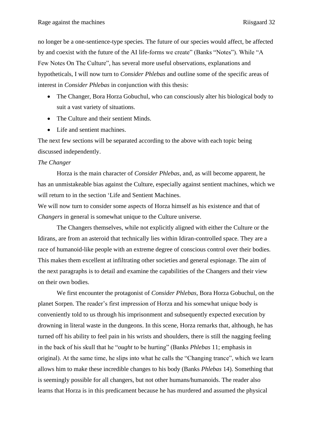no longer be a one-sentience-type species. The future of our species would affect, be affected by and coexist with the future of the AI life-forms we create" (Banks "Notes"). While "A Few Notes On The Culture"*,* has several more useful observations, explanations and hypotheticals, I will now turn to *Consider Phlebas* and outline some of the specific areas of interest in *Consider Phlebas* in conjunction with this thesis:

- The Changer, Bora Horza Gobuchul, who can consciously alter his biological body to suit a vast variety of situations.
- The Culture and their sentient Minds.
- Life and sentient machines.

The next few sections will be separated according to the above with each topic being discussed independently.

#### <span id="page-32-0"></span>*The Changer*

Horza is the main character of *Consider Phlebas,* and, as will become apparent, he has an unmistakeable bias against the Culture, especially against sentient machines, which we will return to in the section 'Life and Sentient Machines.

We will now turn to consider some aspects of Horza himself as his existence and that of *Changers* in general is somewhat unique to the Culture universe.

The Changers themselves, while not explicitly aligned with either the Culture or the Idirans, are from an asteroid that technically lies within Idiran-controlled space. They are a race of humanoid-like people with an extreme degree of conscious control over their bodies. This makes them excellent at infiltrating other societies and general espionage. The aim of the next paragraphs is to detail and examine the capabilities of the Changers and their view on their own bodies.

We first encounter the protagonist of *Consider Phlebas,* Bora Horza Gobuchul, on the planet Sorpen. The reader's first impression of Horza and his somewhat unique body is conveniently told to us through his imprisonment and subsequently expected execution by drowning in literal waste in the dungeons. In this scene, Horza remarks that, although, he has turned off his ability to feel pain in his wrists and shoulders, there is still the nagging feeling in the back of his skull that he "*ought* to be hurting" (Banks *Phlebas* 11; emphasis in original). At the same time, he slips into what he calls the "Changing trance", which we learn allows him to make these incredible changes to his body (Banks *Phlebas* 14). Something that is seemingly possible for all changers, but not other humans/humanoids. The reader also learns that Horza is in this predicament because he has murdered and assumed the physical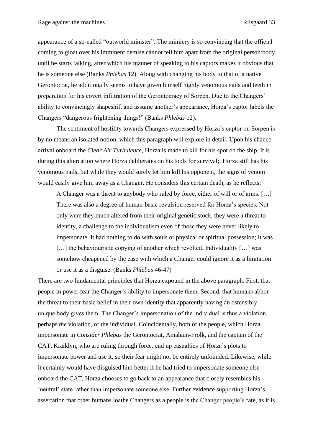appearance of a so-called "outworld minister". The mimicry is so convincing that the official coming to gloat over his imminent demise cannot tell him apart from the original person/body until he starts talking, after which his manner of speaking to his captors makes it obvious that he is someone else (Banks *Phlebas* 12). Along with changing his body to that of a native Gerontocrat, he additionally seems to have given himself highly venomous nails and teeth in preparation for his covert infiltration of the Gerontocracy of Sorpen. Due to the Changers' ability to convincingly shapeshift and assume another's appearance, Horza's captor labels the Changers "dangerous frightening things!" (Banks *Phlebas* 12).

The sentiment of hostility towards Changers expressed by Horza's captor on Sorpen is by no means an isolated notion, which this paragraph will explore in detail. Upon his chance arrival onboard the *Clear Air Turbulence*, Horza is made to kill for his spot on the ship. It is during this altercation where Horza deliberates on his tools for survival;, Horza still has his venomous nails, but while they would surely let him kill his opponent, the signs of venom would easily give him away as a Changer. He considers this certain death, as he reflects:

A Changer was a threat to anybody who ruled by force, either of will or of arms. […] There was also a degree of human-basic revulsion reserved for Horza's species. Not only were they much altered from their original genetic stock, they were a threat to identity, a challenge to the individualism even of those they were never likely to impersonate. It had nothing to do with souls or physical or spiritual possession; it was [...] the behaviouristic copying of another which revolted. Individuality [...] was somehow cheapened by the ease with which a Changer could ignore it as a limitation or use it as a disguise. (Banks *Phlebas* 46-47)

There are two fundamental principles that Horza expound in the above paragraph. First, that people in power fear the Changer's ability to impersonate them. Second, that humans abhor the threat to their basic belief in their own identity that apparently having an ostensibly unique body gives them. The Changer's impersonation of the individual is thus a violation, perhaps *the* violation, of the individual. Coincidentally, both of the people, which Horza impersonate in *Consider Phlebas* the Gerontocrat, Amahain-Frolk, and the captain of the CAT, Kraiklyn, who are ruling through force, end up casualties of Horza's plots to impersonate power and use it, so their fear might not be entirely unfounded. Likewise, while it certainly would have disguised him better if he had tried to impersonate someone else onboard the CAT, Horza chooses to go back to an appearance that closely resembles his 'neutral' state rather than impersonate someone else. Further evidence supporting Horza's assertation that other humans loathe Changers as a people is the Changer people's fate, as it is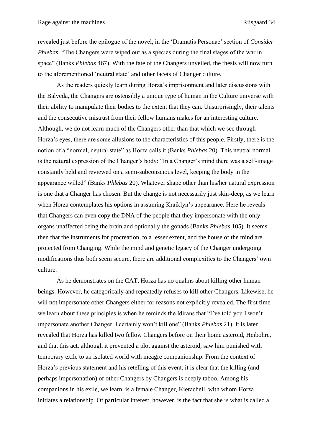revealed just before the epilogue of the novel, in the 'Dramatis Personae' section of *Consider Phlebas*: "The Changers were wiped out as a species during the final stages of the war in space" (Banks *Phlebas* 467). With the fate of the Changers unveiled, the thesis will now turn to the aforementioned 'neutral state' and other facets of Changer culture.

As the readers quickly learn during Horza's imprisonment and later discussions with the Balveda, the Changers are ostensibly a unique type of human in the Culture universe with their ability to manipulate their bodies to the extent that they can. Unsurprisingly, their talents and the consecutive mistrust from their fellow humans makes for an interesting culture. Although, we do not learn much of the Changers other than that which we see through Horza's eyes, there are some allusions to the characteristics of this people. Firstly, there is the notion of a "normal, neutral state" as Horza calls it (Banks *Phlebas* 20). This neutral normal is the natural expression of the Changer's body: "In a Changer's mind there was a self-image constantly held and reviewed on a semi-subconscious level, keeping the body in the appearance willed" (Banks *Phlebas* 20). Whatever shape other than his/her natural expression is one that a Changer has chosen. But the change is not necessarily just skin-deep, as we learn when Horza contemplates his options in assuming Kraiklyn's appearance. Here he reveals that Changers can even copy the DNA of the people that they impersonate with the only organs unaffected being the brain and optionally the gonads (Banks *Phlebas* 105). It seems then that the instruments for procreation, to a lesser extent, and the house of the mind are protected from Changing. While the mind and genetic legacy of the Changer undergoing modifications thus both seem secure, there are additional complexities to the Changers' own culture.

As he demonstrates on the CAT, Horza has no qualms about killing other human beings. However, he categorically and repeatedly refuses to kill other Changers. Likewise, he will not impersonate other Changers either for reasons not explicitly revealed. The first time we learn about these principles is when he reminds the Idirans that "I've told you I won't impersonate another Changer. I certainly won't kill one" (Banks *Phlebas* 21). It is later revealed that Horza has killed two fellow Changers before on their home asteroid, Heibohre, and that this act, although it prevented a plot against the asteroid, saw him punished with temporary exile to an isolated world with meagre companionship. From the context of Horza's previous statement and his retelling of this event, it is clear that the killing (and perhaps impersonation) of other Changers by Changers is deeply taboo. Among his companions in his exile, we learn, is a female Changer, Kierachell, with whom Horza initiates a relationship. Of particular interest, however, is the fact that she is what is called a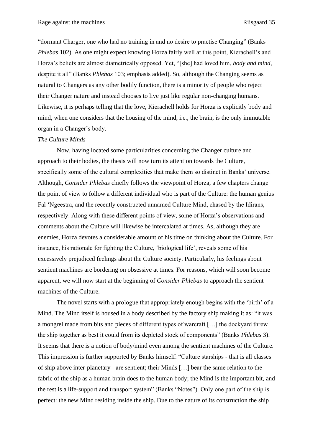"dormant Charger, one who had no training in and no desire to practise Changing" (Banks *Phlebas* 102). As one might expect knowing Horza fairly well at this point, Kierachell's and Horza's beliefs are almost diametrically opposed. Yet, "[she] had loved him, *body and mind*, despite it all" (Banks *Phlebas* 103; emphasis added). So, although the Changing seems as natural to Changers as any other bodily function, there is a minority of people who reject their Changer nature and instead chooses to live just like regular non-changing humans. Likewise, it is perhaps telling that the love, Kierachell holds for Horza is explicitly body and mind, when one considers that the housing of the mind, i.e., the brain, is the only immutable organ in a Changer's body.

#### <span id="page-35-0"></span>*The Culture Minds*

Now, having located some particularities concerning the Changer culture and approach to their bodies, the thesis will now turn its attention towards the Culture, specifically some of the cultural complexities that make them so distinct in Banks' universe. Although, *Consider Phlebas* chiefly follows the viewpoint of Horza, a few chapters change the point of view to follow a different individual who is part of the Culture: the human genius Fal 'Ngeestra, and the recently constructed unnamed Culture Mind, chased by the Idirans, respectively. Along with these different points of view, some of Horza's observations and comments about the Culture will likewise be intercalated at times. As, although they are enemies, Horza devotes a considerable amount of his time on thinking about the Culture. For instance, his rationale for fighting the Culture, 'biological life', reveals some of his excessively prejudiced feelings about the Culture society. Particularly, his feelings about sentient machines are bordering on obsessive at times. For reasons, which will soon become apparent, we will now start at the beginning of *Consider Phlebas* to approach the sentient machines of the Culture.

The novel starts with a prologue that appropriately enough begins with the 'birth' of a Mind. The Mind itself is housed in a body described by the factory ship making it as: "it was a mongrel made from bits and pieces of different types of warcraft […] the dockyard threw the ship together as best it could from its depleted stock of components" (Banks *Phlebas* 3). It seems that there is a notion of body/mind even among the sentient machines of the Culture. This impression is further supported by Banks himself: "Culture starships - that is all classes of ship above inter-planetary - are sentient; their Minds […] bear the same relation to the fabric of the ship as a human brain does to the human body; the Mind is the important bit, and the rest is a life-support and transport system" (Banks "Notes"). Only one part of the ship is perfect: the new Mind residing inside the ship. Due to the nature of its construction the ship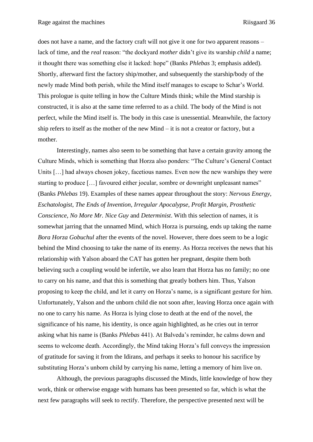does not have a name, and the factory craft will not give it one for two apparent reasons – lack of time, and the *real* reason: "the dockyard *mother* didn't give its warship *child* a name; it thought there was something else it lacked: hope" (Banks *Phlebas* 3; emphasis added). Shortly, afterward first the factory ship/mother, and subsequently the starship/body of the newly made Mind both perish, while the Mind itself manages to escape to Schar's World. This prologue is quite telling in how the Culture Minds think; while the Mind starship is constructed, it is also at the same time referred to as a child. The body of the Mind is not perfect, while the Mind itself is. The body in this case is unessential. Meanwhile, the factory ship refers to itself as the mother of the new Mind – it is not a creator or factory, but a mother.

Interestingly, names also seem to be something that have a certain gravity among the Culture Minds, which is something that Horza also ponders: "The Culture's General Contact Units [...] had always chosen jokey, facetious names. Even now the new warships they were starting to produce […] favoured either jocular, sombre or downright unpleasant names" (Banks *Phlebas* 19). Examples of these names appear throughout the story: *Nervous Energy*, *Eschatologist*, *The Ends of Invention*, *Irregular Apocalypse*, *Profit Margin*, *Prosthetic Conscience*, *No More Mr. Nice Guy* and *Determinist*. With this selection of names, it is somewhat jarring that the unnamed Mind, which Horza is pursuing, ends up taking the name *Bora Horza Gobuchul* after the events of the novel. However, there does seem to be a logic behind the Mind choosing to take the name of its enemy. As Horza receives the news that his relationship with Yalson aboard the CAT has gotten her pregnant, despite them both believing such a coupling would be infertile, we also learn that Horza has no family; no one to carry on his name, and that this is something that greatly bothers him. Thus, Yalson proposing to keep the child, and let it carry on Horza's name, is a significant gesture for him. Unfortunately, Yalson and the unborn child die not soon after, leaving Horza once again with no one to carry his name. As Horza is lying close to death at the end of the novel, the significance of his name, his identity, is once again highlighted, as he cries out in terror asking what his name is (Banks *Phlebas* 441). At Balveda's reminder, he calms down and seems to welcome death. Accordingly, the Mind taking Horza's full conveys the impression of gratitude for saving it from the Idirans, and perhaps it seeks to honour his sacrifice by substituting Horza's unborn child by carrying his name, letting a memory of him live on.

Although, the previous paragraphs discussed the Minds, little knowledge of how they work, think or otherwise engage with humans has been presented so far, which is what the next few paragraphs will seek to rectify. Therefore, the perspective presented next will be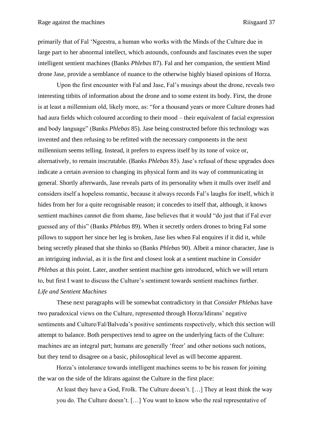primarily that of Fal 'Ngeestra, a human who works with the Minds of the Culture due in large part to her abnormal intellect, which astounds, confounds and fascinates even the super intelligent sentient machines (Banks *Phlebas* 87). Fal and her companion, the sentient Mind drone Jase, provide a semblance of nuance to the otherwise highly biased opinions of Horza.

Upon the first encounter with Fal and Jase, Fal's musings about the drone, reveals two interesting titbits of information about the drone and to some extent its body. First, the drone is at least a millennium old, likely more, as: "for a thousand years or more Culture drones had had aura fields which coloured according to their mood – their equivalent of facial expression and body language" (Banks *Phlebas* 85). Jase being constructed before this technology was invented and then refusing to be refitted with the necessary components in the next millennium seems telling. Instead, it prefers to express itself by its tone of voice or, alternatively, to remain inscrutable. (Banks *Phlebas* 85). Jase's refusal of these upgrades does indicate a certain aversion to changing its physical form and its way of communicating in general. Shortly afterwards, Jase reveals parts of its personality when it mulls over itself and considers itself a hopeless romantic, because it always records Fal's laughs for itself, which it hides from her for a quite recognisable reason; it concedes to itself that, although, it knows sentient machines cannot die from shame, Jase believes that it would "do just that if Fal ever guessed any of this" (Banks *Phlebas* 89). When it secretly orders drones to bring Fal some pillows to support her since her leg is broken, Jase lies when Fal enquires if it did it, while being secretly pleased that she thinks so (Banks *Phlebas* 90). Albeit a minor character, Jase is an intriguing induvial, as it is the first and closest look at a sentient machine in *Consider Phlebas* at this point. Later, another sentient machine gets introduced, which we will return to, but first I want to discuss the Culture's sentiment towards sentient machines further. *Life and Sentient Machines* 

<span id="page-37-0"></span>These next paragraphs will be somewhat contradictory in that *Consider Phlebas* have two paradoxical views on the Culture, represented through Horza/Idirans' negative sentiments and Culture/Fal/Balveda's positive sentiments respectively, which this section will attempt to balance. Both perspectives tend to agree on the underlying facts of the Culture: machines are an integral part; humans are generally 'freer' and other notions such notions, but they tend to disagree on a basic, philosophical level as will become apparent.

Horza's intolerance towards intelligent machines seems to be his reason for joining the war on the side of the Idirans against the Culture in the first place:

At least they have a God, Frolk. The Culture doesn't. […] They at least think the way you do. The Culture doesn't. […] You want to know who the real representative of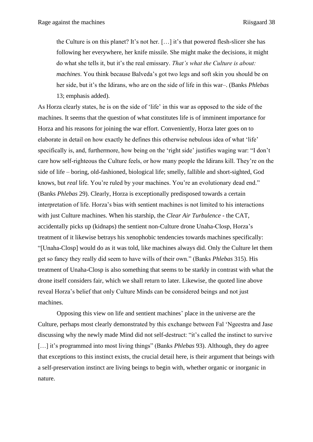the Culture is on this planet? It's not her. […] it's that powered flesh-slicer she has following her everywhere, her knife missile. She might make the decisions, it might do what she tells it, but it's the real emissary. *That's what the Culture is about: machines*. You think because Balveda's got two legs and soft skin you should be on her side, but it's the Idirans, who are on the side of life in this war–. (Banks *Phlebas*  13; emphasis added).

As Horza clearly states, he is on the side of 'life' in this war as opposed to the side of the machines. It seems that the question of what constitutes life is of imminent importance for Horza and his reasons for joining the war effort. Conveniently, Horza later goes on to elaborate in detail on how exactly he defines this otherwise nebulous idea of what 'life' specifically is, and, furthermore, how being on the 'right side' justifies waging war: "I don't care how self-righteous the Culture feels, or how many people the Idirans kill. They're on the side of life – boring, old-fashioned, biological life; smelly, fallible and short-sighted, God knows, but *real* life. You're ruled by your machines. You're an evolutionary dead end." (Banks *Phlebas* 29). Clearly, Horza is exceptionally predisposed towards a certain interpretation of life. Horza's bias with sentient machines is not limited to his interactions with just Culture machines. When his starship, the *Clear Air Turbulence* - the CAT, accidentally picks up (kidnaps) the sentient non-Culture drone Unaha-Closp, Horza's treatment of it likewise betrays his xenophobic tendencies towards machines specifically: "[Unaha-Closp] would do as it was told, like machines always did. Only the Culture let them get so fancy they really did seem to have wills of their own." (Banks *Phlebas* 315). His treatment of Unaha-Closp is also something that seems to be starkly in contrast with what the drone itself considers fair, which we shall return to later. Likewise, the quoted line above reveal Horza's belief that only Culture Minds can be considered beings and not just machines.

Opposing this view on life and sentient machines' place in the universe are the Culture, perhaps most clearly demonstrated by this exchange between Fal 'Ngeestra and Jase discussing why the newly made Mind did not self-destruct: "it's called the instinct to survive […] it's programmed into most living things" (Banks *Phlebas* 93). Although, they do agree that exceptions to this instinct exists, the crucial detail here, is their argument that beings with a self-preservation instinct are living beings to begin with, whether organic or inorganic in nature.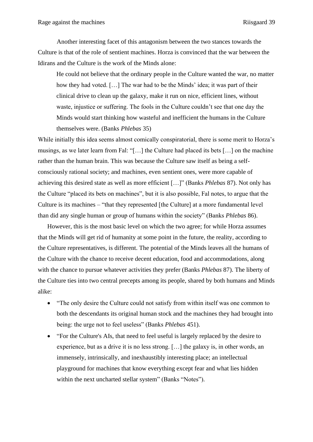Another interesting facet of this antagonism between the two stances towards the Culture is that of the role of sentient machines. Horza is convinced that the war between the Idirans and the Culture is the work of the Minds alone:

He could not believe that the ordinary people in the Culture wanted the war, no matter how they had voted. […] The war had to be the Minds' idea; it was part of their clinical drive to clean up the galaxy, make it run on nice, efficient lines, without waste, injustice or suffering. The fools in the Culture couldn't see that one day the Minds would start thinking how wasteful and inefficient the humans in the Culture themselves were. (Banks *Phlebas* 35)

While initially this idea seems almost comically conspiratorial, there is some merit to Horza's musings, as we later learn from Fal: "[…] the Culture had placed its bets […] on the machine rather than the human brain. This was because the Culture saw itself as being a selfconsciously rational society; and machines, even sentient ones, were more capable of achieving this desired state as well as more efficient […]" (Banks *Phlebas* 87). Not only has the Culture "placed its bets on machines", but it is also possible, Fal notes, to argue that the Culture is its machines – "that they represented [the Culture] at a more fundamental level than did any single human or group of humans within the society" (Banks *Phlebas* 86).

However, this is the most basic level on which the two agree; for while Horza assumes that the Minds will get rid of humanity at some point in the future, the reality, according to the Culture representatives, is different. The potential of the Minds leaves all the humans of the Culture with the chance to receive decent education, food and accommodations, along with the chance to pursue whatever activities they prefer (Banks *Phlebas* 87). The liberty of the Culture ties into two central precepts among its people, shared by both humans and Minds alike:

- "The only desire the Culture could not satisfy from within itself was one common to both the descendants its original human stock and the machines they had brought into being: the urge not to feel useless" (Banks *Phlebas* 451).
- "For the Culture's AIs, that need to feel useful is largely replaced by the desire to experience, but as a drive it is no less strong. […] the galaxy is, in other words, an immensely, intrinsically, and inexhaustibly interesting place; an intellectual playground for machines that know everything except fear and what lies hidden within the next uncharted stellar system" (Banks "Notes").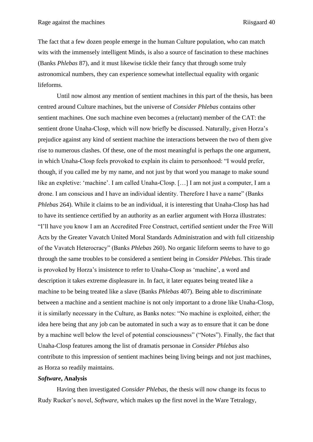The fact that a few dozen people emerge in the human Culture population, who can match wits with the immensely intelligent Minds, is also a source of fascination to these machines (Banks *Phlebas* 87), and it must likewise tickle their fancy that through some truly astronomical numbers, they can experience somewhat intellectual equality with organic lifeforms.

Until now almost any mention of sentient machines in this part of the thesis, has been centred around Culture machines, but the universe of *Consider Phlebas* contains other sentient machines. One such machine even becomes a (reluctant) member of the CAT: the sentient drone Unaha-Closp, which will now briefly be discussed. Naturally, given Horza's prejudice against any kind of sentient machine the interactions between the two of them give rise to numerous clashes. Of these, one of the most meaningful is perhaps the one argument, in which Unaha-Closp feels provoked to explain its claim to personhood: "I would prefer, though, if you called me by my name, and not just by that word you manage to make sound like an expletive: 'machine'. I am called Unaha-Closp. […] I am not just a computer, I am a drone. I am conscious and I have an individual identity. Therefore I have a name" (Banks *Phlebas* 264). While it claims to be an individual, it is interesting that Unaha-Closp has had to have its sentience certified by an authority as an earlier argument with Horza illustrates: "I'll have you know I am an Accredited Free Construct, certified sentient under the Free Will Acts by the Greater Vavatch United Moral Standards Administration and with full citizenship of the Vavatch Heterocracy" (Banks *Phlebas* 260). No organic lifeform seems to have to go through the same troubles to be considered a sentient being in *Consider Phlebas*. This tirade is provoked by Horza's insistence to refer to Unaha-Closp as 'machine', a word and description it takes extreme displeasure in. In fact, it later equates being treated like a machine to be being treated like a slave (Banks *Phlebas* 407). Being able to discriminate between a machine and a sentient machine is not only important to a drone like Unaha-Closp, it is similarly necessary in the Culture, as Banks notes: "No machine is exploited, either; the idea here being that any job can be automated in such a way as to ensure that it can be done by a machine well below the level of potential consciousness" ("Notes"). Finally, the fact that Unaha-Closp features among the list of dramatis personae in *Consider Phlebas* also contribute to this impression of sentient machines being living beings and not just machines, as Horza so readily maintains.

# <span id="page-40-0"></span>*Software***, Analysis**

Having then investigated *Consider Phlebas*, the thesis will now change its focus to Rudy Rucker's novel, *Software*, which makes up the first novel in the Ware Tetralogy,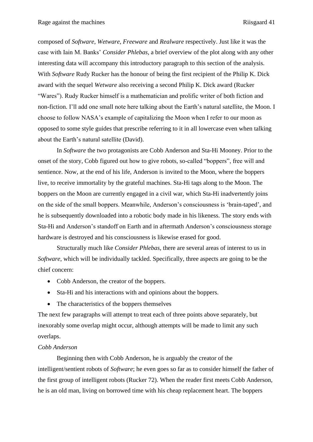composed of *Software, Wetware, Freeware* and *Realware* respectively. Just like it was the case with Iain M. Banks' *Consider Phlebas*, a brief overview of the plot along with any other interesting data will accompany this introductory paragraph to this section of the analysis. With *Software* Rudy Rucker has the honour of being the first recipient of the Philip K. Dick award with the sequel *Wetware* also receiving a second Philip K. Dick award (Rucker "Wares"). Rudy Rucker himself is a mathematician and prolific writer of both fiction and non-fiction. I'll add one small note here talking about the Earth's natural satellite, the Moon. I choose to follow NASA's example of capitalizing the Moon when I refer to our moon as opposed to some style guides that prescribe referring to it in all lowercase even when talking about the Earth's natural satellite (David).

In *Software* the two protagonists are Cobb Anderson and Sta-Hi Mooney. Prior to the onset of the story, Cobb figured out how to give robots, so-called "boppers", free will and sentience. Now, at the end of his life, Anderson is invited to the Moon, where the boppers live, to receive immortality by the grateful machines. Sta-Hi tags along to the Moon. The boppers on the Moon are currently engaged in a civil war, which Sta-Hi inadvertently joins on the side of the small boppers. Meanwhile, Anderson's consciousness is 'brain-taped', and he is subsequently downloaded into a robotic body made in his likeness. The story ends with Sta-Hi and Anderson's standoff on Earth and in aftermath Anderson's consciousness storage hardware is destroyed and his consciousness is likewise erased for good.

Structurally much like *Consider Phlebas*, there are several areas of interest to us in *Software*, which will be individually tackled. Specifically, three aspects are going to be the chief concern:

- Cobb Anderson, the creator of the boppers.
- Sta-Hi and his interactions with and opinions about the boppers.
- The characteristics of the boppers themselves

The next few paragraphs will attempt to treat each of three points above separately, but inexorably some overlap might occur, although attempts will be made to limit any such overlaps.

# <span id="page-41-0"></span>*Cobb Anderson*

Beginning then with Cobb Anderson, he is arguably the creator of the intelligent/sentient robots of *Software*; he even goes so far as to consider himself the father of the first group of intelligent robots (Rucker 72). When the reader first meets Cobb Anderson, he is an old man, living on borrowed time with his cheap replacement heart. The boppers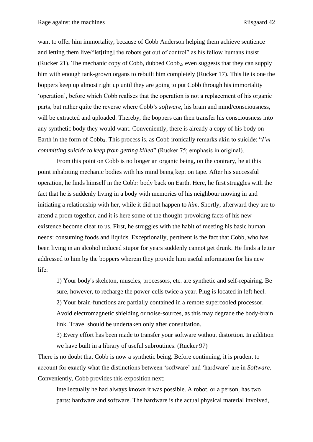want to offer him immortality, because of Cobb Anderson helping them achieve sentience and letting them live/"let<sup>[ting]</sup> the robots get out of control" as his fellow humans insist (Rucker 21). The mechanic copy of Cobb, dubbed Cobb2, even suggests that they can supply him with enough tank-grown organs to rebuilt him completely (Rucker 17). This lie is one the boppers keep up almost right up until they are going to put Cobb through his immortality 'operation', before which Cobb realises that the operation is not a replacement of his organic parts, but rather quite the reverse where Cobb's *software*, his brain and mind/consciousness, will be extracted and uploaded. Thereby, the boppers can then transfer his consciousness into any synthetic body they would want. Conveniently, there is already a copy of his body on Earth in the form of Cobb<sub>2</sub>. This process is, as Cobb ironically remarks akin to suicide: "*I'm committing suicide to keep from getting killed*" (Rucker 75; emphasis in original).

From this point on Cobb is no longer an organic being, on the contrary, he at this point inhabiting mechanic bodies with his mind being kept on tape. After his successful operation, he finds himself in the Cobb<sup>2</sup> body back on Earth. Here, he first struggles with the fact that he is suddenly living in a body with memories of his neighbour moving in and initiating a relationship with her, while it did not happen to *him*. Shortly, afterward they are to attend a prom together, and it is here some of the thought-provoking facts of his new existence become clear to us. First, he struggles with the habit of meeting his basic human needs: consuming foods and liquids. Exceptionally, pertinent is the fact that Cobb, who has been living in an alcohol induced stupor for years suddenly cannot get drunk. He finds a letter addressed to him by the boppers wherein they provide him useful information for his new life:

1) Your body's skeleton, muscles, processors, etc. are synthetic and self-repairing. Be sure, however, to recharge the power-cells twice a year. Plug is located in left heel. 2) Your brain-functions are partially contained in a remote supercooled processor. Avoid electromagnetic shielding or noise-sources, as this may degrade the body-brain link. Travel should be undertaken only after consultation.

3) Every effort has been made to transfer your software without distortion. In addition we have built in a library of useful subroutines. (Rucker 97)

There is no doubt that Cobb is now a synthetic being. Before continuing, it is prudent to account for exactly what the distinctions between 'software' and 'hardware' are in *Software*. Conveniently, Cobb provides this exposition next:

Intellectually he had always known it was possible. A robot, or a person, has two parts: hardware and software. The hardware is the actual physical material involved,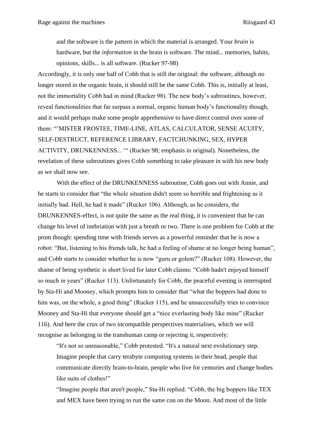and the software is the pattern in which the material is arranged. Your *brain* is hardware, but the *information* in the brain is software. The mind... memories, habits, opinions, skills... is all software. (Rucker 97-98)

Accordingly, it is only one half of Cobb that is still the original: the software, although no longer stored in the organic brain, it should still be the same Cobb. This is, initially at least, not the immortality Cobb had in mind (Rucker 98). The new body's subroutines, however, reveal functionalities that far surpass a normal, organic human body's functionality though, and it would perhaps make some people apprehensive to have direct control over some of them: "'MISTER FROSTEE, TIME-LINE, ATLAS, CALCULATOR, SENSE ACUITY, SELF-DESTRUCT, REFERENCE LIBRARY, FACTCHUNKING, SEX, HYPER ACTIVITY, DRUNKENNESS... '" (Rucker 98; emphasis in original). Nonetheless, the revelation of these subroutines gives Cobb something to take pleasure in with his new body as we shall now see.

With the effect of the DRUNKENNESS subroutine, Cobb goes out with Annie, and he starts to consider that "the whole situation didn't seem so horrible and frightening as it initially had. Hell, he had it made" (Rucker 106). Although, as he considers, the DRUNKENNES-effect, is not quite the same as the real thing, it is convenient that he can change his level of inebriation with just a breath or two. There is one problem for Cobb at the prom though: spending time with friends serves as a powerful reminder that he is now a robot: "But, listening to his friends talk, he had a feeling of shame at no longer being human", and Cobb starts to consider whether he is now "guru or golem?" (Rucker 108). However, the shame of being synthetic is short lived for later Cobb claims: "Cobb hadn't enjoyed himself so much in years" (Rucker 113). Unfortunately for Cobb, the peaceful evening is interrupted by Sta-Hi and Mooney, which prompts him to consider that "what the boppers had done to him was, on the whole, a good thing" (Rucker 115), and he unsuccessfully tries to convince Mooney and Sta-Hi that everyone should get a "nice everlasting body like mine" (Rucker 116). And here the crux of two incompatible perspectives materialises, which we will recognise as belonging in the transhuman camp or rejecting it, respectively:

"It's not so unreasonable," Cobb protested. "It's a natural next evolutionary step. Imagine people that carry terabyte computing systems in their head, people that communicate directly brain-to-brain, people who live for centuries and change bodies like suits of clothes!"

"Imagine people that aren't people," Sta-Hi replied. "Cobb, the big boppers like TEX and MEX have been trying to run the same con on the Moon. And most of the little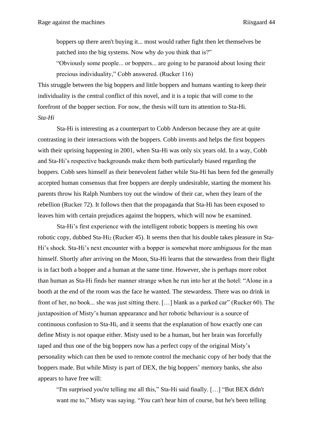boppers up there aren't buying it... most would rather fight then let themselves be patched into the big systems. Now why do you think that is?"

"Obviously some people... or boppers... are going to be paranoid about losing their precious individuality," Cobb answered. (Rucker 116)

This struggle between the big boppers and little boppers and humans wanting to keep their individuality is the central conflict of this novel, and it is a topic that will come to the forefront of the bopper section. For now, the thesis will turn its attention to Sta-Hi. *Sta-Hi*

<span id="page-44-0"></span>Sta-Hi is interesting as a counterpart to Cobb Anderson because they are at quite contrasting in their interactions with the boppers. Cobb invents and helps the first boppers with their uprising happening in 2001, when Sta-Hi was only six years old. In a way, Cobb and Sta-Hi's respective backgrounds make them both particularly biased regarding the boppers. Cobb sees himself as their benevolent father while Sta-Hi has been fed the generally accepted human consensus that free boppers are deeply undesirable, starting the moment his parents throw his Ralph Numbers toy out the window of their car, when they learn of the rebellion (Rucker 72). It follows then that the propaganda that Sta-Hi has been exposed to leaves him with certain prejudices against the boppers, which will now be examined.

Sta-Hi's first experience with the intelligent robotic boppers is meeting his own robotic copy, dubbed Sta-Hi<sub>2</sub> (Rucker 45). It seems then that his double takes pleasure in Sta-Hi's shock. Sta-Hi's next encounter with a bopper is somewhat more ambiguous for the man himself. Shortly after arriving on the Moon, Sta-Hi learns that the stewardess from their flight is in fact both a bopper and a human at the same time. However, she is perhaps more robot than human as Sta-Hi finds her manner strange when he run into her at the hotel: "Alone in a booth at the end of the room was the face he wanted. The stewardess. There was no drink in front of her, no book... she was just sitting there. […] blank as a parked car" (Rucker 60). The juxtaposition of Misty's human appearance and her robotic behaviour is a source of continuous confusion to Sta-Hi, and it seems that the explanation of how exactly one can define Misty is not opaque either. Misty used to be a human, but her brain was forcefully taped and thus one of the big boppers now has a perfect copy of the original Misty's personality which can then be used to remote control the mechanic copy of her body that the boppers made. But while Misty is part of DEX, the big boppers' memory banks, she also appears to have free will:

"I'm surprised you're telling me all this," Sta-Hi said finally. […] "But BEX didn't want me to," Misty was saying. "*You* can't hear him of course, but he's been telling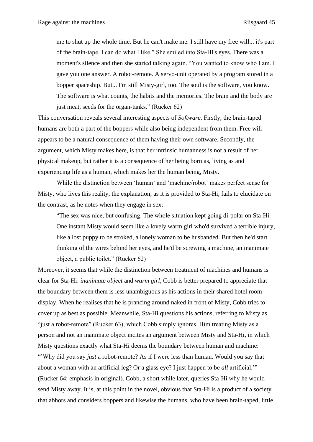me to shut up the whole time. But he can't make me. I still have my free will... it's part of the brain-tape. I can do what I like." She smiled into Sta-Hi's eyes. There was a moment's silence and then she started talking again. "You wanted to know who I am. I gave you one answer. A robot-remote. A servo-unit operated by a program stored in a bopper spaceship. But... I'm still Misty-girl, too. The soul is the software, you know. The software is what counts, the habits and the memories. The brain and the body are just meat, seeds for the organ-tanks." (Rucker 62)

This conversation reveals several interesting aspects of *Software*. Firstly, the brain-taped humans are both a part of the boppers while also being independent from them. Free will appears to be a natural consequence of them having their own software. Secondly, the argument, which Misty makes here, is that her intrinsic humanness is not a result of her physical makeup, but rather it is a consequence of her being born as, living as and experiencing life as a human, which makes her the human being, Misty.

While the distinction between 'human' and 'machine/robot' makes perfect sense for Misty, who lives this reality, the explanation, as it is provided to Sta-Hi, fails to elucidate on the contrast, as he notes when they engage in sex:

"The sex was nice, but confusing. The whole situation kept going di-polar on Sta-Hi. One instant Misty would seem like a lovely warm girl who'd survived a terrible injury, like a lost puppy to be stroked, a lonely woman to be husbanded. But then he'd start thinking of the wires behind her eyes, and he'd be screwing a machine, an inanimate object, a public toilet." (Rucker 62)

Moreover, it seems that while the distinction between treatment of machines and humans is clear for Sta-Hi: *inanimate object* and *warm girl*, Cobb is better prepared to appreciate that the boundary between them is less unambiguous as his actions in their shared hotel room display. When he realises that he is prancing around naked in front of Misty, Cobb tries to cover up as best as possible. Meanwhile, Sta-Hi questions his actions, referring to Misty as "just a robot-remote" (Rucker 63), which Cobb simply ignores. Him treating Misty as a person and not an inanimate object incites an argument between Misty and Sta-Hi, in which Misty questions exactly what Sta-Hi deems the boundary between human and machine: "'Why did you say *just* a robot-remote? As if I were less than human. Would you say that about a woman with an artificial leg? Or a glass eye? I just happen to be *all* artificial.'" (Rucker 64; emphasis in original). Cobb, a short while later, queries Sta-Hi why he would send Misty away. It is, at this point in the novel, obvious that Sta-Hi is a product of a society that abhors and considers boppers and likewise the humans, who have been brain-taped, little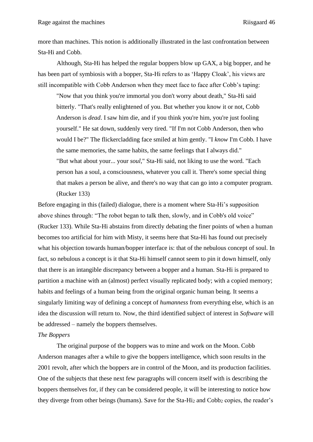more than machines. This notion is additionally illustrated in the last confrontation between Sta-Hi and Cobb.

Although, Sta-Hi has helped the regular boppers blow up GAX, a big bopper, and he has been part of symbiosis with a bopper, Sta-Hi refers to as 'Happy Cloak', his views are still incompatible with Cobb Anderson when they meet face to face after Cobb's taping:

"Now that you think you're immortal you don't worry about death," Sta-Hi said bitterly. "That's really enlightened of you. But whether you know it or not, Cobb Anderson is *dead*. I saw him die, and if you think you're him, you're just fooling yourself." He sat down, suddenly very tired. "If I'm not Cobb Anderson, then who would I be?" The flickercladding face smiled at him gently. "I *know* I'm Cobb. I have the same memories, the same habits, the same feelings that I always did." "But what about your... your *soul*," Sta-Hi said, not liking to use the word. "Each person has a soul, a consciousness, whatever you call it. There's some special thing that makes a person be alive, and there's no way that can go into a computer program. (Rucker 133)

Before engaging in this (failed) dialogue, there is a moment where Sta-Hi's supposition above shines through: "The robot began to talk then, slowly, and in Cobb's old voice" (Rucker 133). While Sta-Hi abstains from directly debating the finer points of when a human becomes too artificial for him with Misty, it seems here that Sta-Hi has found out precisely what his objection towards human/bopper interface is: that of the nebulous concept of soul. In fact, so nebulous a concept is it that Sta-Hi himself cannot seem to pin it down himself, only that there is an intangible discrepancy between a bopper and a human. Sta-Hi is prepared to partition a machine with an (almost) perfect visually replicated body; with a copied memory; habits and feelings of a human being from the original organic human being. It seems a singularly limiting way of defining a concept of *humanness* from everything else, which is an idea the discussion will return to. Now, the third identified subject of interest in *Software* will be addressed – namely the boppers themselves.

# <span id="page-46-0"></span>*The Boppers*

The original purpose of the boppers was to mine and work on the Moon. Cobb Anderson manages after a while to give the boppers intelligence, which soon results in the 2001 revolt, after which the boppers are in control of the Moon, and its production facilities. One of the subjects that these next few paragraphs will concern itself with is describing the boppers themselves for, if they can be considered people, it will be interesting to notice how they diverge from other beings (humans). Save for the Sta-Hi<sub>2</sub> and Cobb<sub>2</sub> copies, the reader's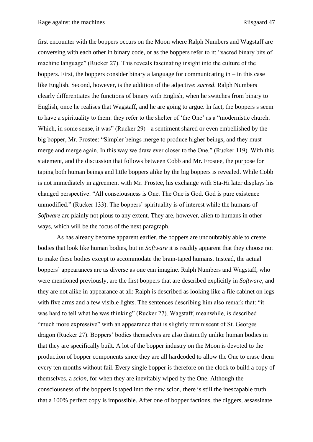first encounter with the boppers occurs on the Moon where Ralph Numbers and Wagstaff are conversing with each other in binary code, or as the boppers refer to it: "sacred binary bits of machine language" (Rucker 27). This reveals fascinating insight into the culture of the boppers. First, the boppers consider binary a language for communicating in  $-$  in this case like English. Second, however, is the addition of the adjective: *sacred*. Ralph Numbers clearly differentiates the functions of binary with English, when he switches from binary to English, once he realises that Wagstaff, and he are going to argue. In fact, the boppers s seem to have a spirituality to them: they refer to the shelter of 'the One' as a "modernistic church. Which, in some sense, it was" (Rucker 29) - a sentiment shared or even embellished by the big bopper, Mr. Frostee: "Simpler beings merge to produce higher beings, and they must merge and merge again. In this way we draw ever closer to the One." (Rucker 119). With this statement, and the discussion that follows between Cobb and Mr. Frostee, the purpose for taping both human beings and little boppers alike by the big boppers is revealed. While Cobb is not immediately in agreement with Mr. Frostee, his exchange with Sta-Hi later displays his changed perspective: "All consciousness is One. The One is God. God is pure existence unmodified." (Rucker 133). The boppers' spirituality is of interest while the humans of *Software* are plainly not pious to any extent. They are, however, alien to humans in other ways, which will be the focus of the next paragraph.

As has already become apparent earlier, the boppers are undoubtably able to create bodies that look like human bodies, but in *Software* it is readily apparent that they choose not to make these bodies except to accommodate the brain-taped humans. Instead, the actual boppers' appearances are as diverse as one can imagine. Ralph Numbers and Wagstaff, who were mentioned previously, are the first boppers that are described explicitly in *Software*, and they are not alike in appearance at all: Ralph is described as looking like a file cabinet on legs with five arms and a few visible lights. The sentences describing him also remark that: "it was hard to tell what he was thinking" (Rucker 27). Wagstaff, meanwhile, is described "much more expressive" with an appearance that is slightly reminiscent of St. Georges dragon (Rucker 27). Boppers' bodies themselves are also distinctly unlike human bodies in that they are specifically built. A lot of the bopper industry on the Moon is devoted to the production of bopper components since they are all hardcoded to allow the One to erase them every ten months without fail. Every single bopper is therefore on the clock to build a copy of themselves, a *scion*, for when they are inevitably wiped by the One. Although the consciousness of the boppers is taped into the new scion, there is still the inescapable truth that a 100% perfect copy is impossible. After one of bopper factions, the diggers, assassinate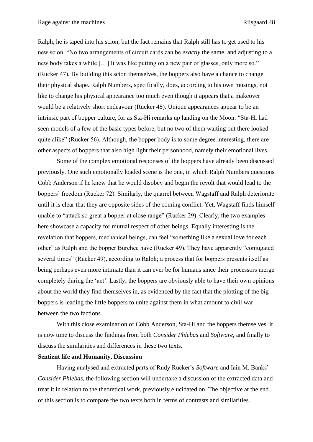Ralph, he is taped into his scion, but the fact remains that Ralph still has to get used to his new scion: "No two arrangements of circuit cards can be *exactly* the same, and adjusting to a new body takes a while […] It was like putting on a new pair of glasses, only more so." (Rucker 47). By building this scion themselves, the boppers also have a chance to change their physical shape. Ralph Numbers, specifically, does, according to his own musings, not like to change his physical appearance too much even though it appears that a makeover would be a relatively short endeavour (Rucker 48). Unique appearances appear to be an intrinsic part of bopper culture, for as Sta-Hi remarks up landing on the Moon: "Sta-Hi had seen models of a few of the basic types before, but no two of them waiting out there looked quite alike" (Rucker 56). Although, the bopper body is to some degree interesting, there are other aspects of boppers that also high light their personhood, namely their emotional lives.

Some of the complex emotional responses of the boppers have already been discussed previously. One such emotionally loaded scene is the one, in which Ralph Numbers questions Cobb Anderson if he knew that he would disobey and begin the revolt that would lead to the boppers' freedom (Rucker 72). Similarly, the quarrel between Wagstaff and Ralph deteriorate until it is clear that they are opposite sides of the coming conflict. Yet, Wagstaff finds himself unable to "attack so great a bopper at close range" (Rucker 29). Clearly, the two examples here showcase a capacity for mutual respect of other beings. Equally interesting is the revelation that boppers, mechanical beings, can feel "something like a sexual love for each other" as Ralph and the bopper Burchee have (Rucker 49). They have apparently "conjugated several times" (Rucker 49), according to Ralph; a process that for boppers presents itself as being perhaps even more intimate than it can ever be for humans since their processors merge completely during the 'act'. Lastly, the boppers are obviously able to have their own opinions about the world they find themselves in, as evidenced by the fact that the plotting of the big boppers is leading the little boppers to unite against them in what amount to civil war between the two factions.

With this close examination of Cobb Anderson, Sta-Hi and the boppers themselves, it is now time to discuss the findings from both *Consider Phlebas* and *Software*, and finally to discuss the similarities and differences in these two texts.

#### <span id="page-48-0"></span>**Sentient life and Humanity, Discussion**

Having analysed and extracted parts of Rudy Rucker's *Software* and Iain M. Banks' *Consider Phlebas*, the following section will undertake a discussion of the extracted data and treat it in relation to the theoretical work, previously elucidated on. The objective at the end of this section is to compare the two texts both in terms of contrasts and similarities.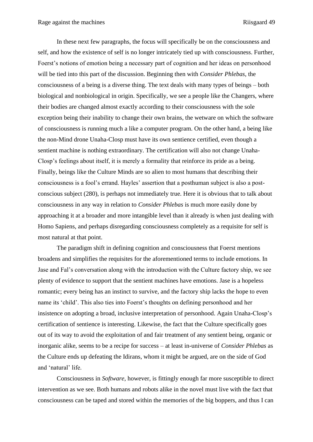In these next few paragraphs, the focus will specifically be on the consciousness and self, and how the existence of self is no longer intricately tied up with consciousness. Further, Foerst's notions of emotion being a necessary part of cognition and her ideas on personhood will be tied into this part of the discussion. Beginning then with *Consider Phlebas*, the consciousness of a being is a diverse thing. The text deals with many types of beings – both biological and nonbiological in origin. Specifically, we see a people like the Changers, where their bodies are changed almost exactly according to their consciousness with the sole exception being their inability to change their own brains, the wetware on which the software of consciousness is running much a like a computer program. On the other hand, a being like the non-Mind drone Unaha-Closp must have its own sentience certified, even though a sentient machine is nothing extraordinary. The certification will also not change Unaha-Closp's feelings about itself, it is merely a formality that reinforce its pride as a being. Finally, beings like the Culture Minds are so alien to most humans that describing their consciousness is a fool's errand. Hayles' assertion that a posthuman subject is also a postconscious subject (280), is perhaps not immediately true. Here it is obvious that to talk about consciousness in any way in relation to *Consider Phlebas* is much more easily done by approaching it at a broader and more intangible level than it already is when just dealing with Homo Sapiens, and perhaps disregarding consciousness completely as a requisite for self is most natural at that point.

The paradigm shift in defining cognition and consciousness that Foerst mentions broadens and simplifies the requisites for the aforementioned terms to include emotions. In Jase and Fal's conversation along with the introduction with the Culture factory ship, we see plenty of evidence to support that the sentient machines have emotions. Jase is a hopeless romantic; every being has an instinct to survive, and the factory ship lacks the hope to even name its 'child'. This also ties into Foerst's thoughts on defining personhood and her insistence on adopting a broad, inclusive interpretation of personhood. Again Unaha-Closp's certification of sentience is interesting. Likewise, the fact that the Culture specifically goes out of its way to avoid the exploitation of and fair treatment of any sentient being, organic or inorganic alike, seems to be a recipe for success – at least in-universe of *Consider Phlebas* as the Culture ends up defeating the Idirans, whom it might be argued, are on the side of God and 'natural' life.

Consciousness in *Software*, however, is fittingly enough far more susceptible to direct intervention as we see. Both humans and robots alike in the novel must live with the fact that consciousness can be taped and stored within the memories of the big boppers, and thus I can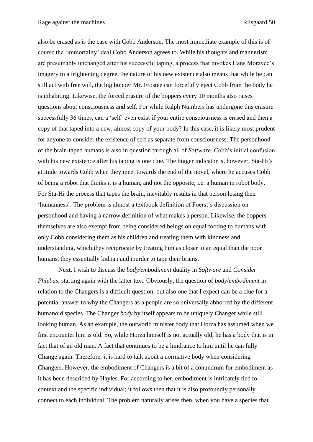also be erased as is the case with Cobb Anderson. The most immediate example of this is of course the 'immortality' deal Cobb Anderson agrees to. While his thoughts and mannerism are presumably unchanged after his successful taping, a process that invokes Hans Moravec's imagery to a frightening degree, the nature of his new existence also means that while he can still act with free will, the big bopper Mr. Frostee can forcefully eject Cobb from the body he is inhabiting. Likewise, the forced erasure of the boppers every 10 months also raises questions about consciousness and self. For while Ralph Numbers has undergone this erasure successfully 36 times, can a 'self' even exist if your entire consciousness is erased and then a copy of that taped into a new, almost copy of your body? In this case, it is likely most prudent for anyone to consider the existence of self as separate from consciousness. The personhood of the brain-taped humans is also in question through all of *Software*. Cobb's initial confusion with his new existence after his taping is one clue. The bigger indicator is, however, Sta-Hi's attitude towards Cobb when they meet towards the end of the novel, where he accuses Cobb of being a robot that thinks it is a human, and not the opposite, i.e. a human in robot body. For Sta-Hi the process that tapes the brain, inevitably results in that person losing their 'humanness'. The problem is almost a textbook definition of Foerst's discussion on personhood and having a narrow definition of what makes a person. Likewise, the boppers themselves are also exempt from being considered beings on equal footing to humans with only Cobb considering them as his children and treating them with kindness and understanding, which they reciprocate by treating him as closer to an equal than the poor humans, they essentially kidnap and murder to tape their brains.

Next, I wish to discuss the *body/embodiment* duality in *Software* and *Consider Phlebas*, starting again with the latter text. Obviously, the question of *body*/*embodiment* in relation to the Changers is a difficult question, but also one that I expect can be a clue for a potential answer to why the Changers as a people are so universally abhorred by the different humanoid species. The Changer *body* by itself appears to be uniquely Changer while still looking human. As an example, the outworld minister body that Horza has assumed when we first encounter him is old. So, while Horza himself is not actually old, he has a body that is in fact that of an old man. A fact that continues to be a hindrance to him until he can fully Change again. Therefore, it is hard to talk about a normative body when considering Changers. However, the embodiment of Changers is a bit of a conundrum for embodiment as it has been described by Hayles. For according to her, embodiment is intricately tied to context and the specific individual; it follows then that it is also profoundly personally connect to each individual. The problem naturally arises then, when you have a species that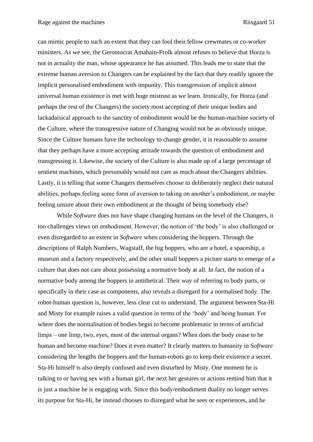can mimic people to such an extent that they can fool their fellow crewmates or co-worker ministers. As we see, the Gerontocrat Amahain-Frolk almost refuses to believe that Horza is not in actuality the man, whose appearance he has assumed. This leads me to state that the extreme human aversion to Changers can be explained by the fact that they readily ignore the implicit personalised embodiment with impunity. This transgression of implicit almost universal human existence is met with huge mistrust as we learn. Ironically, for Horza (and perhaps the rest of the Changers) the society most accepting of their unique bodies and lackadaisical approach to the sanctity of embodiment would be the human-machine society of the Culture, where the transgressive nature of Changing would not be as obviously unique. Since the Culture humans have the technology to change gender, it is reasonable to assume that they perhaps have a more accepting attitude towards the question of embodiment and transgressing it. Likewise, the society of the Culture is also made up of a large percentage of sentient machines, which presumably would not care as much about the Changers abilities. Lastly, it is telling that some Changers themselves choose to deliberately neglect their natural abilities, perhaps feeling some form of aversion to taking on another's embodiment, or maybe feeling unsure about their own embodiment at the thought of being somebody else?

While *Software* does not have shape changing humans on the level of the Changers, it too challenges views on embodiment. However, the notion of 'the body' is also challenged or even disregarded to an extent in *Software* when considering the boppers. Through the descriptions of Ralph Numbers, Wagstaff, the big boppers, who are a hotel, a spaceship, a museum and a factory respectively, and the other small boppers a picture starts to emerge of a culture that does not care about possessing a normative body at all. In fact, the notion of a normative body among the boppers in antithetical. Their way of referring to body parts, or specifically in their case as components, also reveals a disregard for a normalised body. The robot-human question is, however, less clear cut to understand. The argument between Sta-Hi and Misty for example raises a valid question in terms of the 'body' and being human. For where does the normalisation of bodies begin to become problematic in terms of artificial limps – one limp, two, eyes, most of the internal organs? When does the body cease to be human and become machine? Does it even matter? It clearly matters to humanity in *Software* considering the lengths the boppers and the human-robots go to keep their existence a secret. Sta-Hi himself is also deeply confused and even disturbed by Misty. One moment he is talking to or having sex with a human girl, the next her gestures or actions remind him that it is just a machine he is engaging with. Since this body/embodiment duality no longer serves its purpose for Sta-Hi, he instead chooses to disregard what he sees or experiences, and he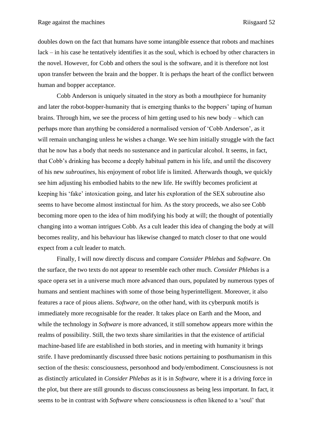doubles down on the fact that humans have some intangible essence that robots and machines lack – in his case he tentatively identifies it as the soul, which is echoed by other characters in the novel. However, for Cobb and others the soul is the software, and it is therefore not lost upon transfer between the brain and the bopper. It is perhaps the heart of the conflict between human and bopper acceptance.

Cobb Anderson is uniquely situated in the story as both a mouthpiece for humanity and later the robot-bopper-humanity that is emerging thanks to the boppers' taping of human brains. Through him, we see the process of him getting used to his new body – which can perhaps more than anything be considered a normalised version of 'Cobb Anderson', as it will remain unchanging unless he wishes a change. We see him initially struggle with the fact that he now has a body that needs no sustenance and in particular alcohol. It seems, in fact, that Cobb's drinking has become a deeply habitual pattern in his life, and until the discovery of his new *subroutines*, his enjoyment of robot life is limited. Afterwards though, we quickly see him adjusting his embodied habits to the new life. He swiftly becomes proficient at keeping his 'fake' intoxication going, and later his exploration of the SEX subroutine also seems to have become almost instinctual for him. As the story proceeds, we also see Cobb becoming more open to the idea of him modifying his body at will; the thought of potentially changing into a woman intrigues Cobb. As a cult leader this idea of changing the body at will becomes reality, and his behaviour has likewise changed to match closer to that one would expect from a cult leader to match.

Finally, I will now directly discuss and compare *Consider Phlebas* and *Software*. On the surface, the two texts do not appear to resemble each other much. *Consider Phlebas* is a space opera set in a universe much more advanced than ours, populated by numerous types of humans and sentient machines with some of those being hyperintelligent. Moreover, it also features a race of pious aliens. *Software,* on the other hand, with its cyberpunk motifs is immediately more recognisable for the reader. It takes place on Earth and the Moon, and while the technology in *Software* is more advanced, it still somehow appears more within the realms of possibility. Still, the two texts share similarities in that the existence of artificial machine-based life are established in both stories, and in meeting with humanity it brings strife. I have predominantly discussed three basic notions pertaining to posthumanism in this section of the thesis: consciousness, personhood and body/embodiment. Consciousness is not as distinctly articulated in *Consider Phlebas* as it is in *Software*, where it is a driving force in the plot, but there are still grounds to discuss consciousness as being less important. In fact, it seems to be in contrast with *Software* where consciousness is often likened to a 'soul' that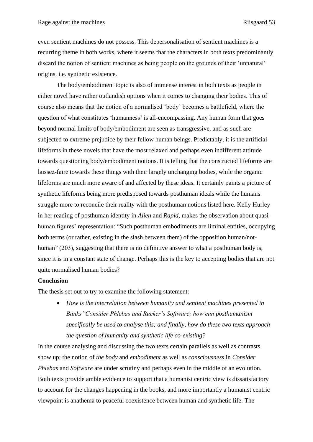even sentient machines do not possess. This depersonalisation of sentient machines is a recurring theme in both works, where it seems that the characters in both texts predominantly discard the notion of sentient machines as being people on the grounds of their 'unnatural' origins, i.e. synthetic existence.

The body/embodiment topic is also of immense interest in both texts as people in either novel have rather outlandish options when it comes to changing their bodies. This of course also means that the notion of a normalised 'body' becomes a battlefield, where the question of what constitutes 'humanness' is all-encompassing. Any human form that goes beyond normal limits of body/embodiment are seen as transgressive, and as such are subjected to extreme prejudice by their fellow human beings. Predictably, it is the artificial lifeforms in these novels that have the most relaxed and perhaps even indifferent attitude towards questioning body/embodiment notions. It is telling that the constructed lifeforms are laissez-faire towards these things with their largely unchanging bodies, while the organic lifeforms are much more aware of and affected by these ideas. It certainly paints a picture of synthetic lifeforms being more predisposed towards posthuman ideals while the humans struggle more to reconcile their reality with the posthuman notions listed here. Kelly Hurley in her reading of posthuman identity in *Alien* and *Rapid*, makes the observation about quasihuman figures' representation: "Such posthuman embodiments are liminal entities, occupying both terms (or rather, existing in the slash between them) of the opposition human/nothuman" (203), suggesting that there is no definitive answer to what a posthuman body is, since it is in a constant state of change. Perhaps this is the key to accepting bodies that are not quite normalised human bodies?

#### <span id="page-53-0"></span>**Conclusion**

The thesis set out to try to examine the following statement:

• *How is the interrelation between humanity and sentient machines presented in Banks' Consider Phlebas and Rucker's Software; how can posthumanism specifically be used to analyse this; and finally, how do these two texts approach the question of humanity and synthetic life co-existing?*

In the course analysing and discussing the two texts certain parallels as well as contrasts show up; the notion of *the body* and *embodiment* as well as *consciousness* in *Consider Phlebas* and *Software* are under scrutiny and perhaps even in the middle of an evolution. Both texts provide amble evidence to support that a humanist centric view is dissatisfactory to account for the changes happening in the books, and more importantly a humanist centric viewpoint is anathema to peaceful coexistence between human and synthetic life. The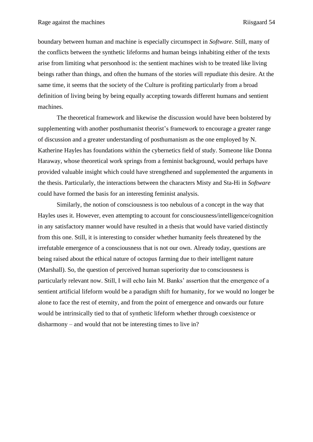boundary between human and machine is especially circumspect in *Software*. Still, many of the conflicts between the synthetic lifeforms and human beings inhabiting either of the texts arise from limiting what personhood is: the sentient machines wish to be treated like living beings rather than things, and often the humans of the stories will repudiate this desire. At the same time, it seems that the society of the Culture is profiting particularly from a broad definition of living being by being equally accepting towards different humans and sentient machines.

The theoretical framework and likewise the discussion would have been bolstered by supplementing with another posthumanist theorist's framework to encourage a greater range of discussion and a greater understanding of posthumanism as the one employed by N. Katherine Hayles has foundations within the cybernetics field of study. Someone like Donna Haraway, whose theoretical work springs from a feminist background, would perhaps have provided valuable insight which could have strengthened and supplemented the arguments in the thesis. Particularly, the interactions between the characters Misty and Sta-Hi in *Software* could have formed the basis for an interesting feminist analysis.

Similarly, the notion of consciousness is too nebulous of a concept in the way that Hayles uses it. However, even attempting to account for consciousness/intelligence/cognition in any satisfactory manner would have resulted in a thesis that would have varied distinctly from this one. Still, it is interesting to consider whether humanity feels threatened by the irrefutable emergence of a consciousness that is not our own. Already today, questions are being raised about the ethical nature of octopus farming due to their intelligent nature (Marshall). So, the question of perceived human superiority due to consciousness is particularly relevant now. Still, I will echo Iain M. Banks' assertion that the emergence of a sentient artificial lifeform would be a paradigm shift for humanity, for we would no longer be alone to face the rest of eternity, and from the point of emergence and onwards our future would be intrinsically tied to that of synthetic lifeform whether through coexistence or disharmony – and would that not be interesting times to live in?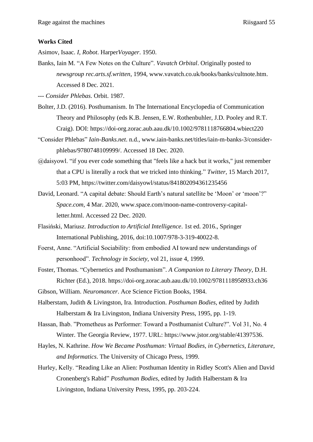#### <span id="page-55-0"></span>**Works Cited**

Asimov, Isaac. *I, Robot*. Harper*Voyager*. 1950.

Banks, Iain M. "A Few Notes on the Culture". *Vavatch Orbital*. Originally posted to *newsgroup rec.arts.sf.written*, 1994, www.vavatch.co.uk/books/banks/cultnote.htm. Accessed 8 Dec. 2021.

--- *Consider Phlebas*. Orbit. 1987.

- Bolter, J.D. (2016). Posthumanism. In The International Encyclopedia of Communication Theory and Philosophy (eds K.B. Jensen, E.W. Rothenbuhler, J.D. Pooley and R.T. Craig). DOI: https://doi-org.zorac.aub.aau.dk/10.1002/9781118766804.wbiect220
- "Consider Phlebas" *Iain-Banks.net*. n.d., www.iain-banks.net/titles/iain-m-banks-3/considerphlebas/9780748109999/. Accessed 18 Dec. 2020.
- @daisyowl. "if you ever code something that "feels like a hack but it works," just remember that a CPU is literally a rock that we tricked into thinking." *Twitter,* 15 March 2017, 5:03 PM, https://twitter.com/daisyowl/status/841802094361235456
- David, Leonard. "A capital debate: Should Earth's natural satellite be 'Moon' or 'moon'?" *Space.com*, 4 Mar. 2020, www.space.com/moon-name-controversy-capitalletter.html. Accessed 22 Dec. 2020.
- Flasiński, Mariusz. *Introduction to Artificial Intelligence*. 1st ed. 2016., Springer International Publishing, 2016, doi:10.1007/978-3-319-40022-8.
- Foerst, Anne. "Artificial Sociability: from embodied AI toward new understandings of personhood". *Technology in Society*, vol 21, issue 4, 1999.
- Foster, Thomas. "Cybernetics and Posthumanism". *A Companion to Literary Theory*, D.H. Richter (Ed.), 2018. https://doi-org.zorac.aub.aau.dk/10.1002/9781118958933.ch36

Gibson, William. *Neuromancer*. Ace Science Fiction Books, 1984.

- Halberstam, Judith & Livingston, Ira. Introduction. *Posthuman Bodies*, edited by Judith Halberstam & Ira Livingston, Indiana University Press, 1995, pp. 1-19.
- Hassan, Ihab. "Prometheus as Performer: Toward a Posthumanist Culture?". Vol 31, No. 4 Winter. The Georgia Review, 1977. URL: https://www.jstor.org/stable/41397536.
- Hayles, N. Kathrine. *How We Became Posthuman: Virtual Bodies, in Cybernetics, Literature, and Informatics*. The University of Chicago Press, 1999.
- Hurley, Kelly. "Reading Like an Alien: Posthuman Identity in Ridley Scott's Alien and David Cronenberg's Rabid" *Posthuman Bodies*, edited by Judith Halberstam & Ira Livingston, Indiana University Press, 1995, pp. 203-224.